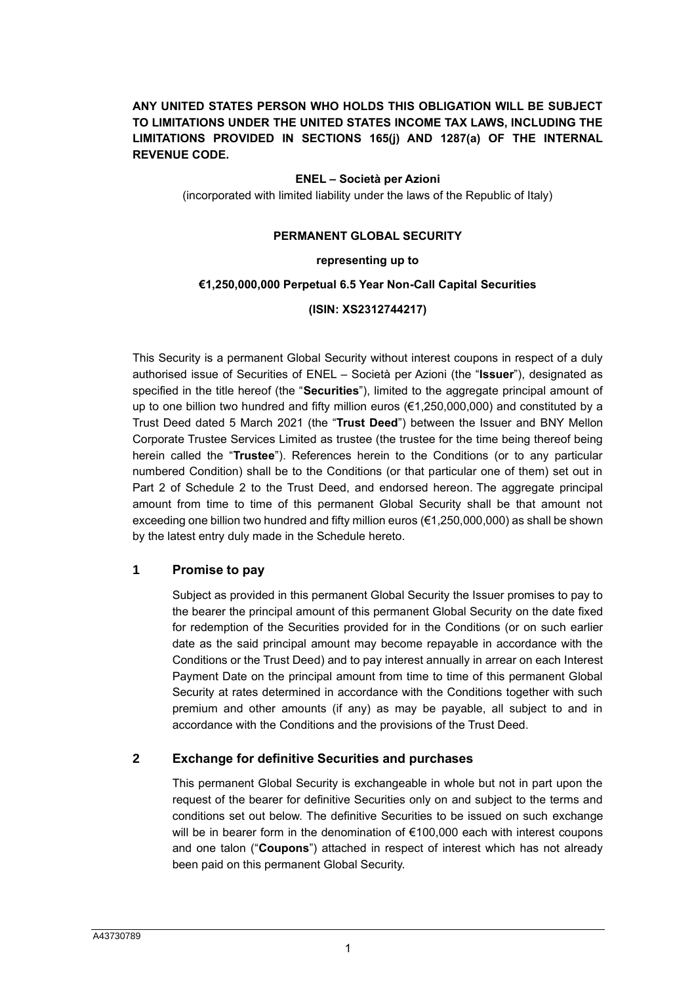# **ANY UNITED STATES PERSON WHO HOLDS THIS OBLIGATION WILL BE SUBJECT TO LIMITATIONS UNDER THE UNITED STATES INCOME TAX LAWS, INCLUDING THE LIMITATIONS PROVIDED IN SECTIONS 165(j) AND 1287(a) OF THE INTERNAL REVENUE CODE.**

### **ENEL – Società per Azioni**

(incorporated with limited liability under the laws of the Republic of Italy)

### **PERMANENT GLOBAL SECURITY**

### **representing up to**

### **€1,250,000,000 Perpetual 6.5 Year Non-Call Capital Securities**

### **(ISIN: XS2312744217)**

This Security is a permanent Global Security without interest coupons in respect of a duly authorised issue of Securities of ENEL – Società per Azioni (the "**Issuer**"), designated as specified in the title hereof (the "**Securities**"), limited to the aggregate principal amount of up to one billion two hundred and fifty million euros (€1,250,000,000) and constituted by a Trust Deed dated 5 March 2021 (the "**Trust Deed**") between the Issuer and BNY Mellon Corporate Trustee Services Limited as trustee (the trustee for the time being thereof being herein called the "**Trustee**"). References herein to the Conditions (or to any particular numbered Condition) shall be to the Conditions (or that particular one of them) set out in Part 2 of Schedule 2 to the Trust Deed, and endorsed hereon. The aggregate principal amount from time to time of this permanent Global Security shall be that amount not exceeding one billion two hundred and fifty million euros ( $\epsilon$ 1,250,000,000) as shall be shown by the latest entry duly made in the Schedule hereto.

### **1 Promise to pay**

Subject as provided in this permanent Global Security the Issuer promises to pay to the bearer the principal amount of this permanent Global Security on the date fixed for redemption of the Securities provided for in the Conditions (or on such earlier date as the said principal amount may become repayable in accordance with the Conditions or the Trust Deed) and to pay interest annually in arrear on each Interest Payment Date on the principal amount from time to time of this permanent Global Security at rates determined in accordance with the Conditions together with such premium and other amounts (if any) as may be payable, all subject to and in accordance with the Conditions and the provisions of the Trust Deed.

### **2 Exchange for definitive Securities and purchases**

This permanent Global Security is exchangeable in whole but not in part upon the request of the bearer for definitive Securities only on and subject to the terms and conditions set out below. The definitive Securities to be issued on such exchange will be in bearer form in the denomination of €100,000 each with interest coupons and one talon ("**Coupons**") attached in respect of interest which has not already been paid on this permanent Global Security.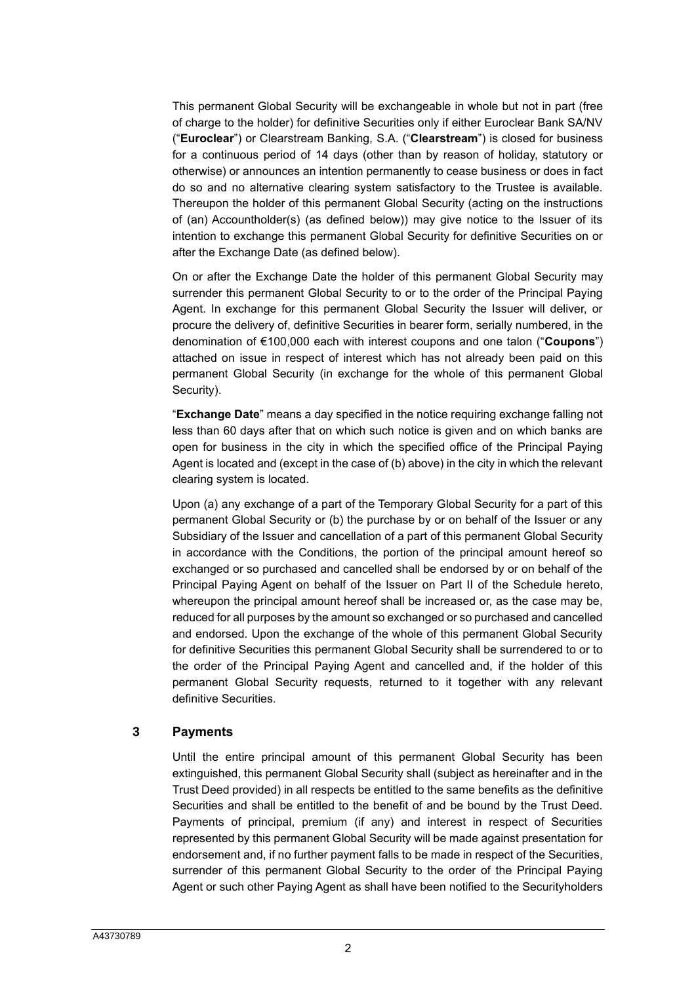This permanent Global Security will be exchangeable in whole but not in part (free of charge to the holder) for definitive Securities only if either Euroclear Bank SA/NV ("**Euroclear**") or Clearstream Banking, S.A. ("**Clearstream**") is closed for business for a continuous period of 14 days (other than by reason of holiday, statutory or otherwise) or announces an intention permanently to cease business or does in fact do so and no alternative clearing system satisfactory to the Trustee is available. Thereupon the holder of this permanent Global Security (acting on the instructions of (an) Accountholder(s) (as defined below)) may give notice to the Issuer of its intention to exchange this permanent Global Security for definitive Securities on or after the Exchange Date (as defined below).

On or after the Exchange Date the holder of this permanent Global Security may surrender this permanent Global Security to or to the order of the Principal Paying Agent. In exchange for this permanent Global Security the Issuer will deliver, or procure the delivery of, definitive Securities in bearer form, serially numbered, in the denomination of €100,000 each with interest coupons and one talon ("**Coupons**") attached on issue in respect of interest which has not already been paid on this permanent Global Security (in exchange for the whole of this permanent Global Security).

"**Exchange Date**" means a day specified in the notice requiring exchange falling not less than 60 days after that on which such notice is given and on which banks are open for business in the city in which the specified office of the Principal Paying Agent is located and (except in the case of (b) above) in the city in which the relevant clearing system is located.

Upon (a) any exchange of a part of the Temporary Global Security for a part of this permanent Global Security or (b) the purchase by or on behalf of the Issuer or any Subsidiary of the Issuer and cancellation of a part of this permanent Global Security in accordance with the Conditions, the portion of the principal amount hereof so exchanged or so purchased and cancelled shall be endorsed by or on behalf of the Principal Paying Agent on behalf of the Issuer on [Part II](#page-6-0) of the Schedule hereto, whereupon the principal amount hereof shall be increased or, as the case may be, reduced for all purposes by the amount so exchanged or so purchased and cancelled and endorsed. Upon the exchange of the whole of this permanent Global Security for definitive Securities this permanent Global Security shall be surrendered to or to the order of the Principal Paying Agent and cancelled and, if the holder of this permanent Global Security requests, returned to it together with any relevant definitive Securities.

## **3 Payments**

Until the entire principal amount of this permanent Global Security has been extinguished, this permanent Global Security shall (subject as hereinafter and in the Trust Deed provided) in all respects be entitled to the same benefits as the definitive Securities and shall be entitled to the benefit of and be bound by the Trust Deed. Payments of principal, premium (if any) and interest in respect of Securities represented by this permanent Global Security will be made against presentation for endorsement and, if no further payment falls to be made in respect of the Securities, surrender of this permanent Global Security to the order of the Principal Paying Agent or such other Paying Agent as shall have been notified to the Securityholders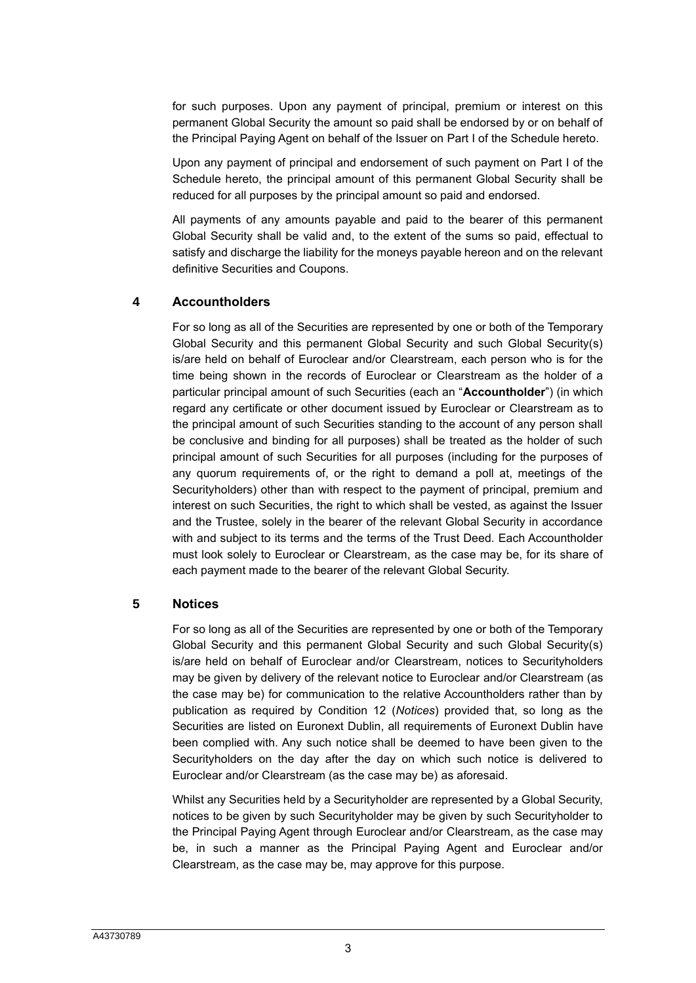for such purposes. Upon any payment of principal, premium or interest on this permanent Global Security the amount so paid shall be endorsed by or on behalf of the Principal Paying Agent on behalf of the Issuer on [Part I](#page-5-0) of the Schedule hereto.

Upon any payment of principal and endorsement of such payment on [Part I](#page-5-0) of the Schedule hereto, the principal amount of this permanent Global Security shall be reduced for all purposes by the principal amount so paid and endorsed.

All payments of any amounts payable and paid to the bearer of this permanent Global Security shall be valid and, to the extent of the sums so paid, effectual to satisfy and discharge the liability for the moneys payable hereon and on the relevant definitive Securities and Coupons.

## **4 Accountholders**

For so long as all of the Securities are represented by one or both of the Temporary Global Security and this permanent Global Security and such Global Security(s) is/are held on behalf of Euroclear and/or Clearstream, each person who is for the time being shown in the records of Euroclear or Clearstream as the holder of a particular principal amount of such Securities (each an "**Accountholder**") (in which regard any certificate or other document issued by Euroclear or Clearstream as to the principal amount of such Securities standing to the account of any person shall be conclusive and binding for all purposes) shall be treated as the holder of such principal amount of such Securities for all purposes (including for the purposes of any quorum requirements of, or the right to demand a poll at, meetings of the Securityholders) other than with respect to the payment of principal, premium and interest on such Securities, the right to which shall be vested, as against the Issuer and the Trustee, solely in the bearer of the relevant Global Security in accordance with and subject to its terms and the terms of the Trust Deed. Each Accountholder must look solely to Euroclear or Clearstream, as the case may be, for its share of each payment made to the bearer of the relevant Global Security.

## **5 Notices**

For so long as all of the Securities are represented by one or both of the Temporary Global Security and this permanent Global Security and such Global Security(s) is/are held on behalf of Euroclear and/or Clearstream, notices to Securityholders may be given by delivery of the relevant notice to Euroclear and/or Clearstream (as the case may be) for communication to the relative Accountholders rather than by publication as required by Condition 12 (*Notices*) provided that, so long as the Securities are listed on Euronext Dublin, all requirements of Euronext Dublin have been complied with. Any such notice shall be deemed to have been given to the Securityholders on the day after the day on which such notice is delivered to Euroclear and/or Clearstream (as the case may be) as aforesaid.

Whilst any Securities held by a Securityholder are represented by a Global Security, notices to be given by such Securityholder may be given by such Securityholder to the Principal Paying Agent through Euroclear and/or Clearstream, as the case may be, in such a manner as the Principal Paying Agent and Euroclear and/or Clearstream, as the case may be, may approve for this purpose.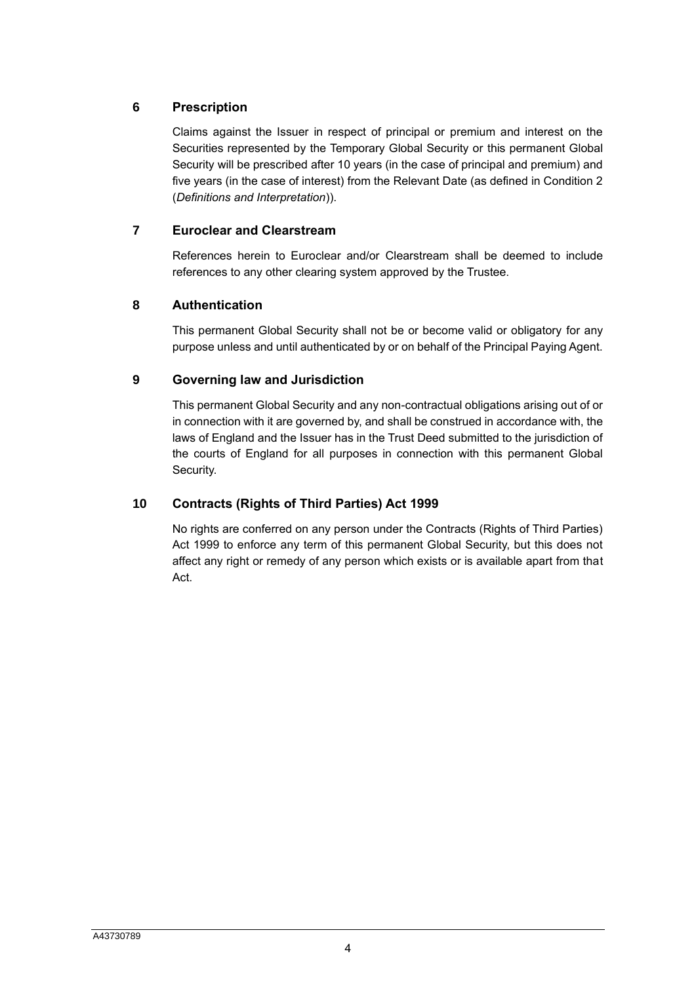# **6 Prescription**

Claims against the Issuer in respect of principal or premium and interest on the Securities represented by the Temporary Global Security or this permanent Global Security will be prescribed after 10 years (in the case of principal and premium) and five years (in the case of interest) from the Relevant Date (as defined in Condition 2 (*Definitions and Interpretation*)).

# **7 Euroclear and Clearstream**

References herein to Euroclear and/or Clearstream shall be deemed to include references to any other clearing system approved by the Trustee.

# **8 Authentication**

This permanent Global Security shall not be or become valid or obligatory for any purpose unless and until authenticated by or on behalf of the Principal Paying Agent.

# **9 Governing law and Jurisdiction**

This permanent Global Security and any non-contractual obligations arising out of or in connection with it are governed by, and shall be construed in accordance with, the laws of England and the Issuer has in the Trust Deed submitted to the jurisdiction of the courts of England for all purposes in connection with this permanent Global Security.

# **10 Contracts (Rights of Third Parties) Act 1999**

No rights are conferred on any person under the Contracts (Rights of Third Parties) Act 1999 to enforce any term of this permanent Global Security, but this does not affect any right or remedy of any person which exists or is available apart from that Act.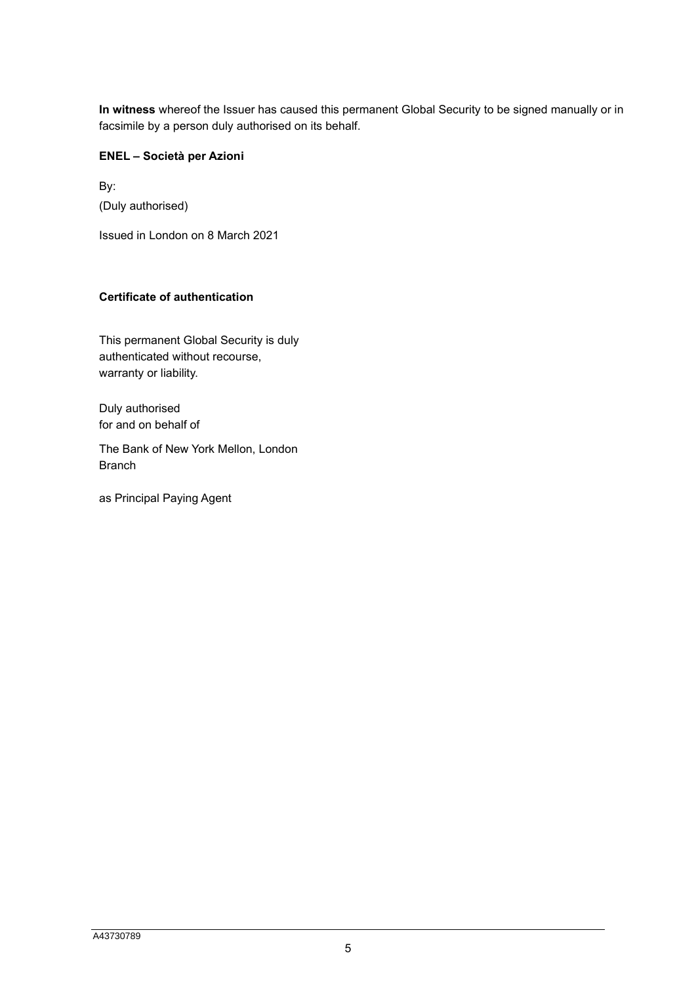**In witness** whereof the Issuer has caused this permanent Global Security to be signed manually or in facsimile by a person duly authorised on its behalf.

### **ENEL – Società per Azioni**

By: (Duly authorised)

Issued in London on 8 March 2021

## **Certificate of authentication**

This permanent Global Security is duly authenticated without recourse, warranty or liability.

Duly authorised for and on behalf of

The Bank of New York Mellon, London Branch

as Principal Paying Agent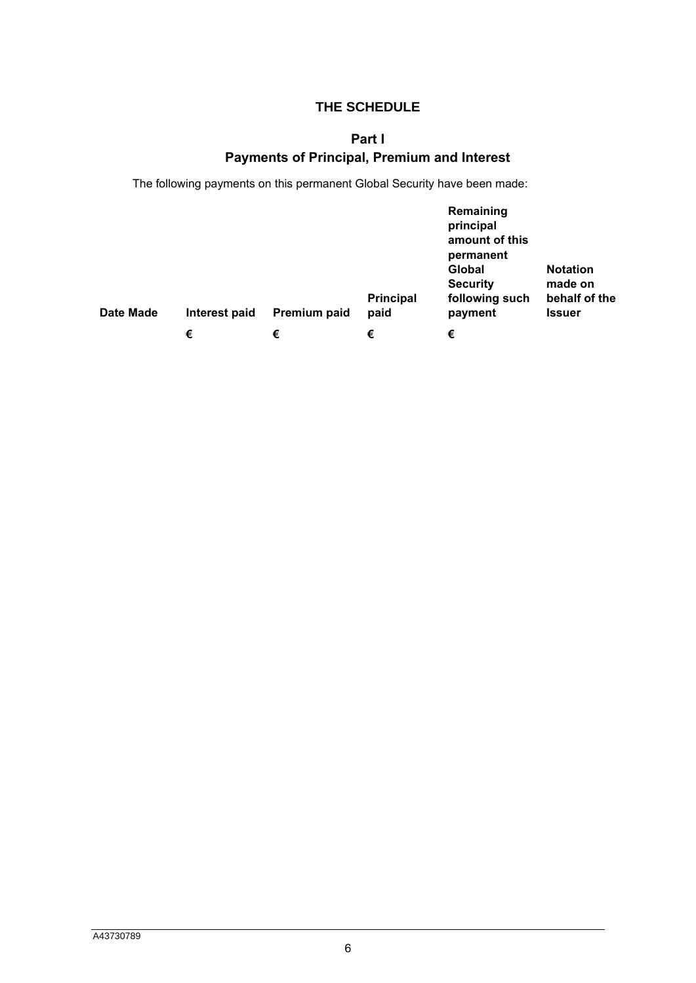# **THE SCHEDULE**

# **Part I**

# **Payments of Principal, Premium and Interest**

<span id="page-5-0"></span>The following payments on this permanent Global Security have been made:

| Date Made | Interest paid | Premium paid | <b>Principal</b><br>paid | Remaining<br>principal<br>amount of this<br>permanent<br>Global<br><b>Security</b><br>following such<br>payment | <b>Notation</b><br>made on<br>behalf of the<br><b>Issuer</b> |
|-----------|---------------|--------------|--------------------------|-----------------------------------------------------------------------------------------------------------------|--------------------------------------------------------------|
|           | €             | €            | €                        | €                                                                                                               |                                                              |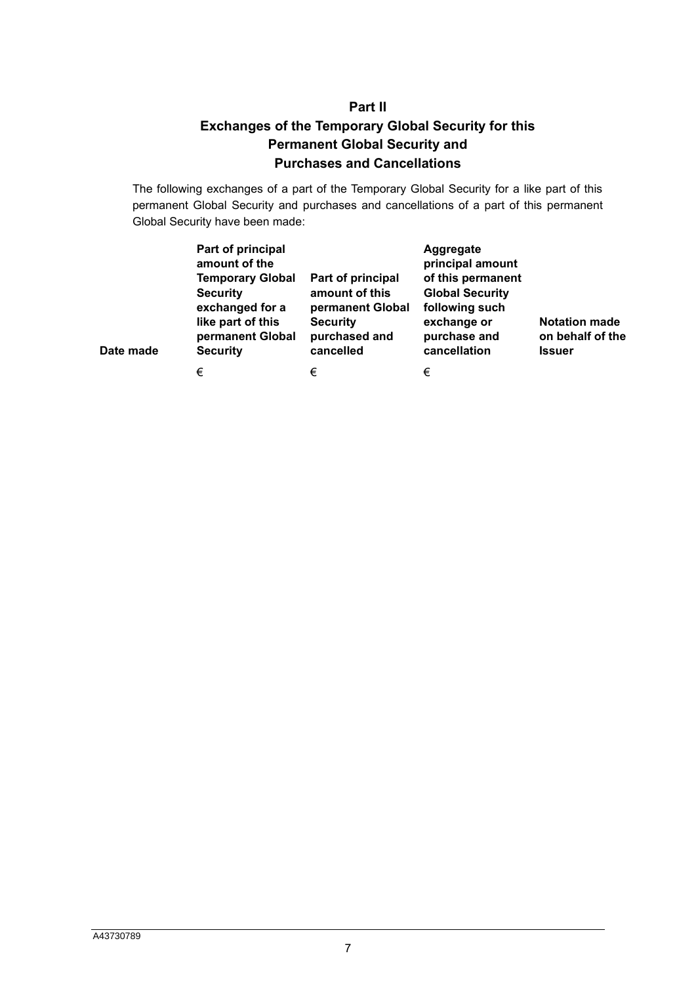# **Part II Exchanges of the Temporary Global Security for this Permanent Global Security and Purchases and Cancellations**

<span id="page-6-0"></span>The following exchanges of a part of the Temporary Global Security for a like part of this permanent Global Security and purchases and cancellations of a part of this permanent Global Security have been made:

| Date made | Part of principal<br>amount of the<br><b>Temporary Global</b><br><b>Security</b><br>exchanged for a<br>like part of this<br>permanent Global<br><b>Security</b> | Part of principal<br>amount of this<br>permanent Global<br><b>Security</b><br>purchased and<br>cancelled | Aggregate<br>principal amount<br>of this permanent<br><b>Global Security</b><br>following such<br>exchange or<br>purchase and<br>cancellation | <b>Notation made</b><br>on behalf of the<br><b>Issuer</b> |
|-----------|-----------------------------------------------------------------------------------------------------------------------------------------------------------------|----------------------------------------------------------------------------------------------------------|-----------------------------------------------------------------------------------------------------------------------------------------------|-----------------------------------------------------------|
|           | €                                                                                                                                                               | €                                                                                                        | €                                                                                                                                             |                                                           |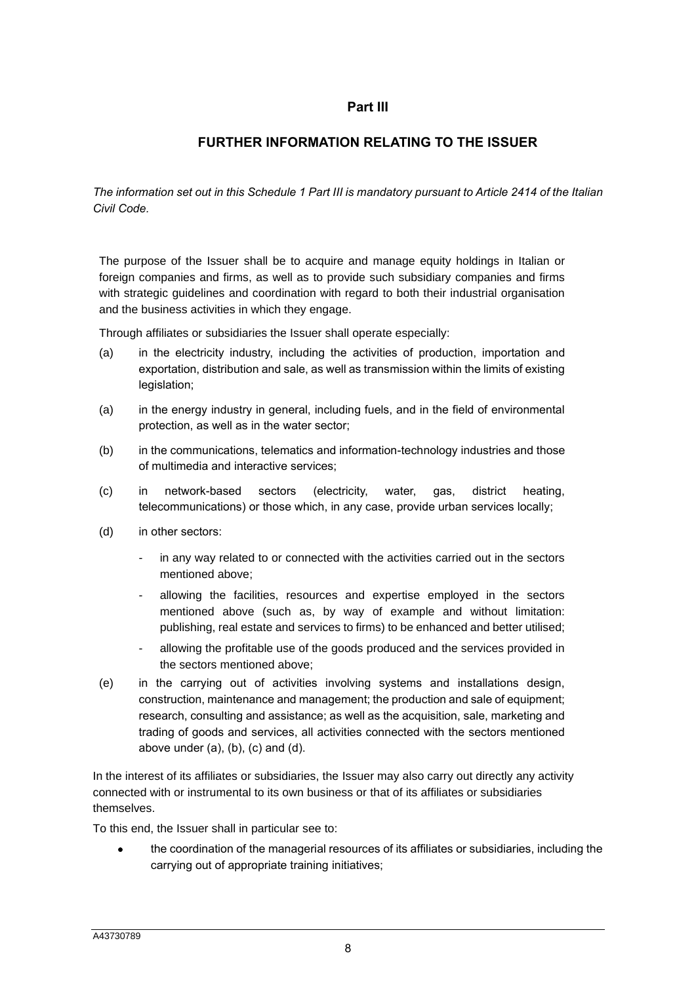# **Part III**

# **FURTHER INFORMATION RELATING TO THE ISSUER**

*The information set out in this Schedule 1 Part III is mandatory pursuant to Article 2414 of the Italian Civil Code.*

The purpose of the Issuer shall be to acquire and manage equity holdings in Italian or foreign companies and firms, as well as to provide such subsidiary companies and firms with strategic guidelines and coordination with regard to both their industrial organisation and the business activities in which they engage.

Through affiliates or subsidiaries the Issuer shall operate especially:

- (a) in the electricity industry, including the activities of production, importation and exportation, distribution and sale, as well as transmission within the limits of existing legislation;
- (a) in the energy industry in general, including fuels, and in the field of environmental protection, as well as in the water sector;
- (b) in the communications, telematics and information-technology industries and those of multimedia and interactive services;
- (c) in network-based sectors (electricity, water, gas, district heating, telecommunications) or those which, in any case, provide urban services locally;
- (d) in other sectors:
	- in any way related to or connected with the activities carried out in the sectors mentioned above;
	- allowing the facilities, resources and expertise employed in the sectors mentioned above (such as, by way of example and without limitation: publishing, real estate and services to firms) to be enhanced and better utilised;
	- allowing the profitable use of the goods produced and the services provided in the sectors mentioned above;
- (e) in the carrying out of activities involving systems and installations design, construction, maintenance and management; the production and sale of equipment; research, consulting and assistance; as well as the acquisition, sale, marketing and trading of goods and services, all activities connected with the sectors mentioned above under  $(a)$ ,  $(b)$ ,  $(c)$  and  $(d)$ .

In the interest of its affiliates or subsidiaries, the Issuer may also carry out directly any activity connected with or instrumental to its own business or that of its affiliates or subsidiaries themselves.

To this end, the Issuer shall in particular see to:

• the coordination of the managerial resources of its affiliates or subsidiaries, including the carrying out of appropriate training initiatives;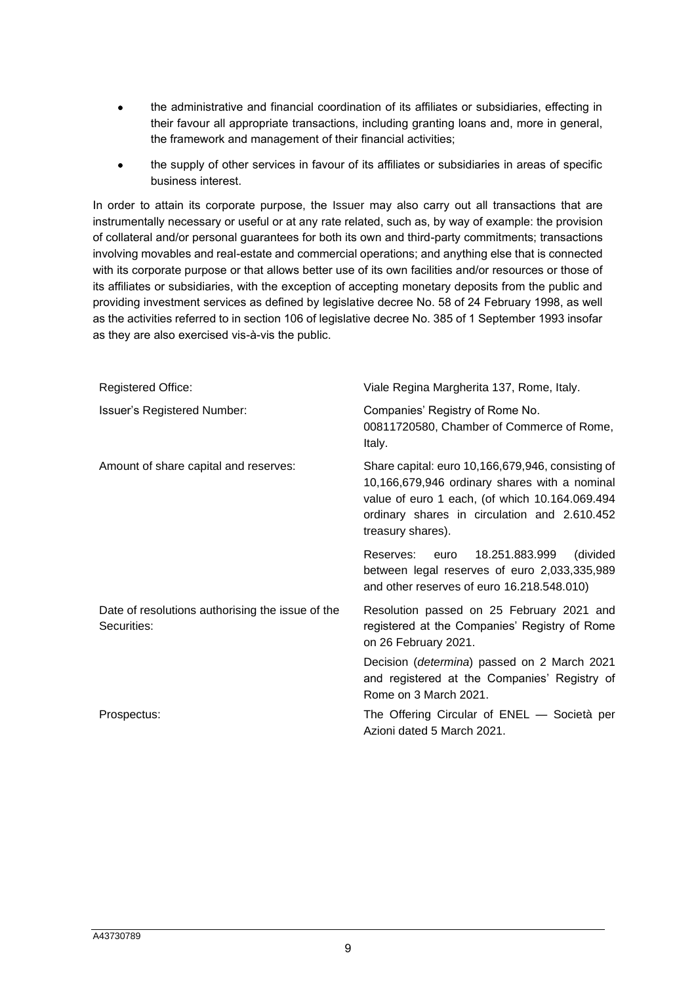- the administrative and financial coordination of its affiliates or subsidiaries, effecting in their favour all appropriate transactions, including granting loans and, more in general, the framework and management of their financial activities;
- the supply of other services in favour of its affiliates or subsidiaries in areas of specific business interest.

In order to attain its corporate purpose, the Issuer may also carry out all transactions that are instrumentally necessary or useful or at any rate related, such as, by way of example: the provision of collateral and/or personal guarantees for both its own and third-party commitments; transactions involving movables and real-estate and commercial operations; and anything else that is connected with its corporate purpose or that allows better use of its own facilities and/or resources or those of its affiliates or subsidiaries, with the exception of accepting monetary deposits from the public and providing investment services as defined by legislative decree No. 58 of 24 February 1998, as well as the activities referred to in section 106 of legislative decree No. 385 of 1 September 1993 insofar as they are also exercised vis-à-vis the public.

| <b>Registered Office:</b>                                       | Viale Regina Margherita 137, Rome, Italy.                                                                                                                                                                                 |  |  |
|-----------------------------------------------------------------|---------------------------------------------------------------------------------------------------------------------------------------------------------------------------------------------------------------------------|--|--|
| Issuer's Registered Number:                                     | Companies' Registry of Rome No.<br>00811720580, Chamber of Commerce of Rome,<br>Italy.                                                                                                                                    |  |  |
| Amount of share capital and reserves:                           | Share capital: euro 10,166,679,946, consisting of<br>10,166,679,946 ordinary shares with a nominal<br>value of euro 1 each, (of which 10.164.069.494<br>ordinary shares in circulation and 2.610.452<br>treasury shares). |  |  |
|                                                                 | (divided<br>Reserves: euro<br>18.251.883.999<br>between legal reserves of euro 2,033,335,989<br>and other reserves of euro 16.218.548.010)                                                                                |  |  |
| Date of resolutions authorising the issue of the<br>Securities: | Resolution passed on 25 February 2021 and<br>registered at the Companies' Registry of Rome<br>on 26 February 2021.                                                                                                        |  |  |
|                                                                 | Decision (determina) passed on 2 March 2021<br>and registered at the Companies' Registry of<br>Rome on 3 March 2021.                                                                                                      |  |  |
| Prospectus:                                                     | The Offering Circular of ENEL - Società per<br>Azioni dated 5 March 2021.                                                                                                                                                 |  |  |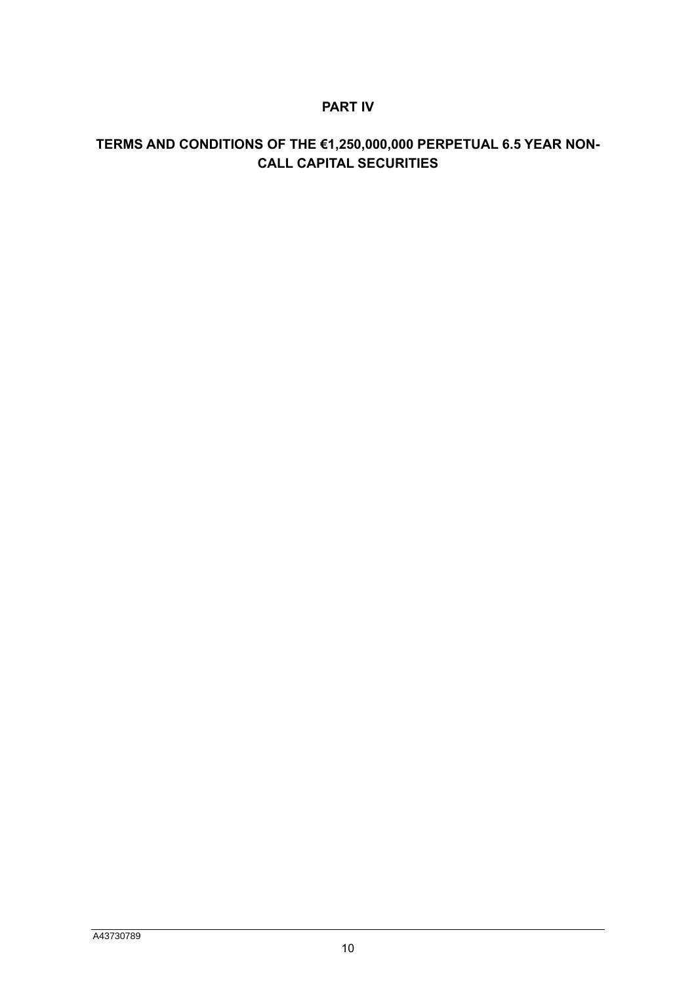# **PART IV**

# **TERMS AND CONDITIONS OF THE €1,250,000,000 PERPETUAL 6.5 YEAR NON-CALL CAPITAL SECURITIES**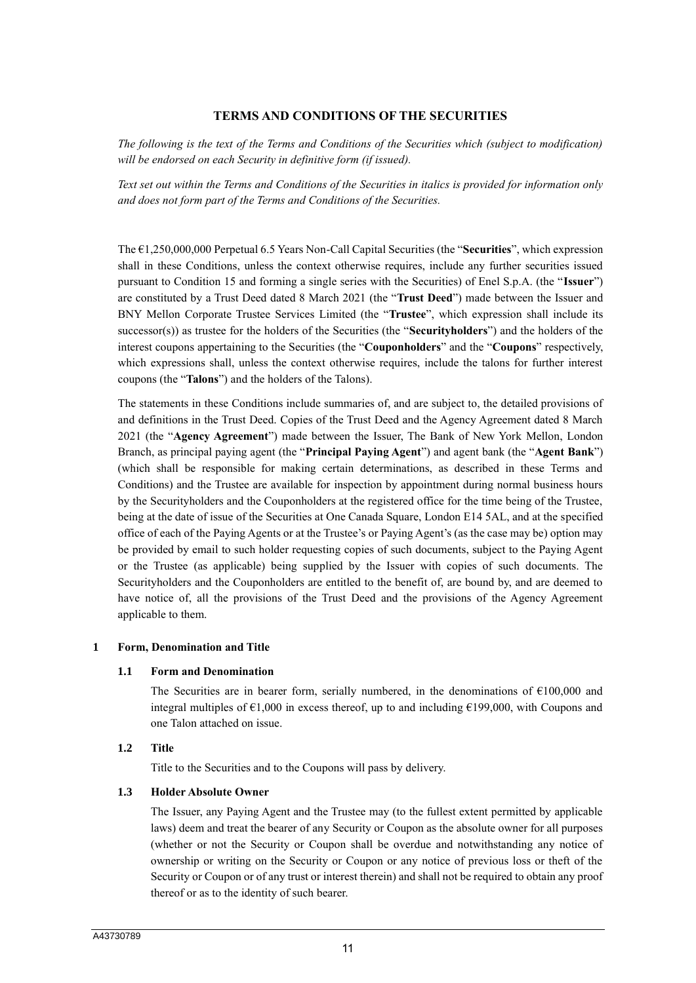## **TERMS AND CONDITIONS OF THE SECURITIES**

*The following is the text of the Terms and Conditions of the Securities which (subject to modification) will be endorsed on each Security in definitive form (if issued).* 

*Text set out within the Terms and Conditions of the Securities in italics is provided for information only and does not form part of the Terms and Conditions of the Securities.*

The €1,250,000,000 Perpetual 6.5 Years Non-Call Capital Securities (the "**Securities**", which expression shall in these Conditions, unless the context otherwise requires, include any further securities issued pursuant to Condition 15 and forming a single series with the Securities) of Enel S.p.A. (the "**Issuer**") are constituted by a Trust Deed dated 8 March 2021 (the "**Trust Deed**") made between the Issuer and BNY Mellon Corporate Trustee Services Limited (the "**Trustee**", which expression shall include its successor(s)) as trustee for the holders of the Securities (the "**Securityholders**") and the holders of the interest coupons appertaining to the Securities (the "**Couponholders**" and the "**Coupons**" respectively, which expressions shall, unless the context otherwise requires, include the talons for further interest coupons (the "**Talons**") and the holders of the Talons).

The statements in these Conditions include summaries of, and are subject to, the detailed provisions of and definitions in the Trust Deed. Copies of the Trust Deed and the Agency Agreement dated 8 March 2021 (the "**Agency Agreement**") made between the Issuer, The Bank of New York Mellon, London Branch, as principal paying agent (the "**Principal Paying Agent**") and agent bank (the "**Agent Bank**") (which shall be responsible for making certain determinations, as described in these Terms and Conditions) and the Trustee are available for inspection by appointment during normal business hours by the Securityholders and the Couponholders at the registered office for the time being of the Trustee, being at the date of issue of the Securities at One Canada Square, London E14 5AL, and at the specified office of each of the Paying Agents or at the Trustee's or Paying Agent's (as the case may be) option may be provided by email to such holder requesting copies of such documents, subject to the Paying Agent or the Trustee (as applicable) being supplied by the Issuer with copies of such documents. The Securityholders and the Couponholders are entitled to the benefit of, are bound by, and are deemed to have notice of, all the provisions of the Trust Deed and the provisions of the Agency Agreement applicable to them.

#### **1 Form, Denomination and Title**

#### **1.1 Form and Denomination**

The Securities are in bearer form, serially numbered, in the denominations of  $\epsilon$ 100,000 and integral multiples of  $\epsilon$ 1,000 in excess thereof, up to and including  $\epsilon$ 199,000, with Coupons and one Talon attached on issue.

### **1.2 Title**

Title to the Securities and to the Coupons will pass by delivery.

#### **1.3 Holder Absolute Owner**

The Issuer, any Paying Agent and the Trustee may (to the fullest extent permitted by applicable laws) deem and treat the bearer of any Security or Coupon as the absolute owner for all purposes (whether or not the Security or Coupon shall be overdue and notwithstanding any notice of ownership or writing on the Security or Coupon or any notice of previous loss or theft of the Security or Coupon or of any trust or interest therein) and shall not be required to obtain any proof thereof or as to the identity of such bearer.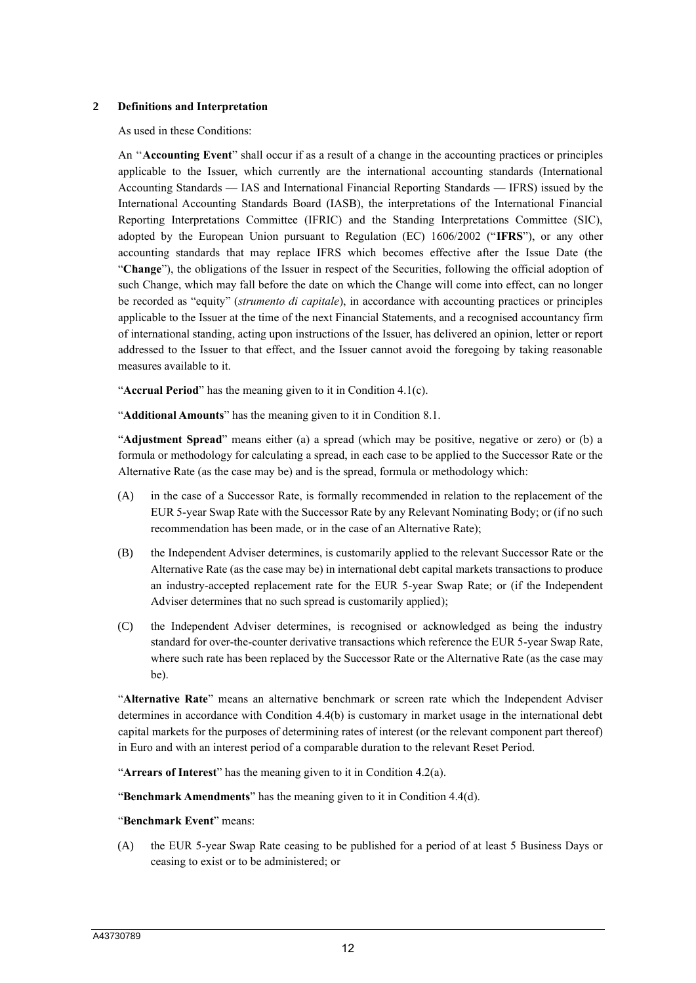#### **2 Definitions and Interpretation**

As used in these Conditions:

An ''**Accounting Event**" shall occur if as a result of a change in the accounting practices or principles applicable to the Issuer, which currently are the international accounting standards (International Accounting Standards — IAS and International Financial Reporting Standards — IFRS) issued by the International Accounting Standards Board (IASB), the interpretations of the International Financial Reporting Interpretations Committee (IFRIC) and the Standing Interpretations Committee (SIC), adopted by the European Union pursuant to Regulation (EC) 1606/2002 ("**IFRS**"), or any other accounting standards that may replace IFRS which becomes effective after the Issue Date (the "**Change**"), the obligations of the Issuer in respect of the Securities, following the official adoption of such Change, which may fall before the date on which the Change will come into effect, can no longer be recorded as "equity" (*strumento di capitale*), in accordance with accounting practices or principles applicable to the Issuer at the time of the next Financial Statements, and a recognised accountancy firm of international standing, acting upon instructions of the Issuer, has delivered an opinion, letter or report addressed to the Issuer to that effect, and the Issuer cannot avoid the foregoing by taking reasonable measures available to it.

"**Accrual Period**" has the meaning given to it in Condition 4.1(c).

"**Additional Amounts**" has the meaning given to it in Condition 8.1.

"**Adjustment Spread**" means either (a) a spread (which may be positive, negative or zero) or (b) a formula or methodology for calculating a spread, in each case to be applied to the Successor Rate or the Alternative Rate (as the case may be) and is the spread, formula or methodology which:

- (A) in the case of a Successor Rate, is formally recommended in relation to the replacement of the EUR 5-year Swap Rate with the Successor Rate by any Relevant Nominating Body; or (if no such recommendation has been made, or in the case of an Alternative Rate);
- (B) the Independent Adviser determines, is customarily applied to the relevant Successor Rate or the Alternative Rate (as the case may be) in international debt capital markets transactions to produce an industry-accepted replacement rate for the EUR 5-year Swap Rate; or (if the Independent Adviser determines that no such spread is customarily applied);
- (C) the Independent Adviser determines, is recognised or acknowledged as being the industry standard for over-the-counter derivative transactions which reference the EUR 5-year Swap Rate, where such rate has been replaced by the Successor Rate or the Alternative Rate (as the case may be).

"**Alternative Rate**" means an alternative benchmark or screen rate which the Independent Adviser determines in accordance with Condition 4.4(b) is customary in market usage in the international debt capital markets for the purposes of determining rates of interest (or the relevant component part thereof) in Euro and with an interest period of a comparable duration to the relevant Reset Period.

"**Arrears of Interest**" has the meaning given to it in Condition 4.2(a).

"**Benchmark Amendments**" has the meaning given to it in Condition 4.4(d).

#### "**Benchmark Event**" means:

(A) the EUR 5-year Swap Rate ceasing to be published for a period of at least 5 Business Days or ceasing to exist or to be administered; or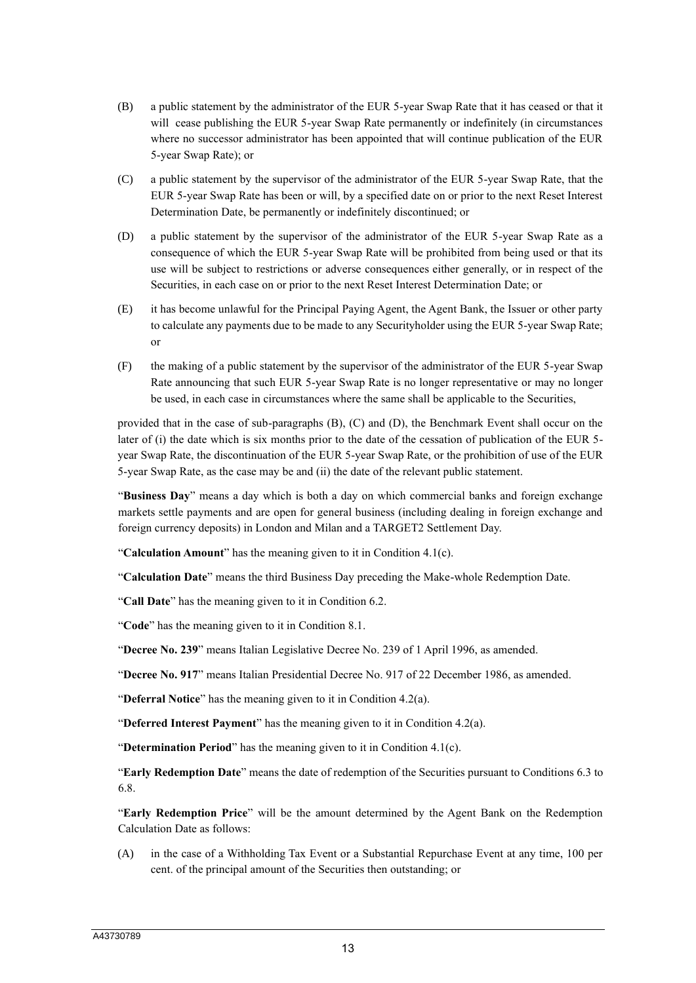- (B) a public statement by the administrator of the EUR 5-year Swap Rate that it has ceased or that it will cease publishing the EUR 5-year Swap Rate permanently or indefinitely (in circumstances where no successor administrator has been appointed that will continue publication of the EUR 5-year Swap Rate); or
- (C) a public statement by the supervisor of the administrator of the EUR 5-year Swap Rate, that the EUR 5-year Swap Rate has been or will, by a specified date on or prior to the next Reset Interest Determination Date, be permanently or indefinitely discontinued; or
- (D) a public statement by the supervisor of the administrator of the EUR 5-year Swap Rate as a consequence of which the EUR 5-year Swap Rate will be prohibited from being used or that its use will be subject to restrictions or adverse consequences either generally, or in respect of the Securities, in each case on or prior to the next Reset Interest Determination Date; or
- (E) it has become unlawful for the Principal Paying Agent, the Agent Bank, the Issuer or other party to calculate any payments due to be made to any Securityholder using the EUR 5-year Swap Rate; or
- (F) the making of a public statement by the supervisor of the administrator of the EUR 5-year Swap Rate announcing that such EUR 5-year Swap Rate is no longer representative or may no longer be used, in each case in circumstances where the same shall be applicable to the Securities,

provided that in the case of sub-paragraphs (B), (C) and (D), the Benchmark Event shall occur on the later of (i) the date which is six months prior to the date of the cessation of publication of the EUR 5year Swap Rate, the discontinuation of the EUR 5-year Swap Rate, or the prohibition of use of the EUR 5-year Swap Rate, as the case may be and (ii) the date of the relevant public statement.

"**Business Day**" means a day which is both a day on which commercial banks and foreign exchange markets settle payments and are open for general business (including dealing in foreign exchange and foreign currency deposits) in London and Milan and a TARGET2 Settlement Day.

"**Calculation Amount**" has the meaning given to it in Condition 4.1(c).

"**Calculation Date**" means the third Business Day preceding the Make-whole Redemption Date.

"**Call Date**" has the meaning given to it in Condition 6.2.

"**Code**" has the meaning given to it in Condition 8.1.

"**Decree No. 239**" means Italian Legislative Decree No. 239 of 1 April 1996, as amended.

"**Decree No. 917**" means Italian Presidential Decree No. 917 of 22 December 1986, as amended.

"**Deferral Notice**" has the meaning given to it in Condition 4.2(a).

"**Deferred Interest Payment**" has the meaning given to it in Condition 4.2(a).

"**Determination Period**" has the meaning given to it in Condition 4.1(c).

"**Early Redemption Date**" means the date of redemption of the Securities pursuant to Conditions 6.3 to 6.8.

"**Early Redemption Price**" will be the amount determined by the Agent Bank on the Redemption Calculation Date as follows:

(A) in the case of a Withholding Tax Event or a Substantial Repurchase Event at any time, 100 per cent. of the principal amount of the Securities then outstanding; or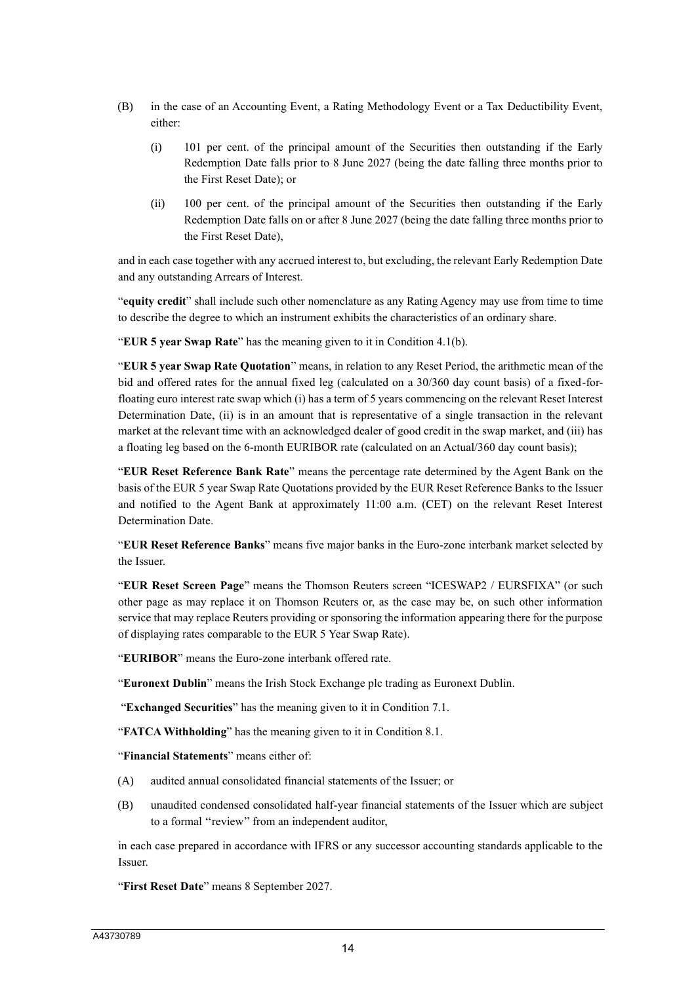- (B) in the case of an Accounting Event, a Rating Methodology Event or a Tax Deductibility Event, either:
	- (i) 101 per cent. of the principal amount of the Securities then outstanding if the Early Redemption Date falls prior to 8 June 2027 (being the date falling three months prior to the First Reset Date); or
	- (ii) 100 per cent. of the principal amount of the Securities then outstanding if the Early Redemption Date falls on or after 8 June 2027 (being the date falling three months prior to the First Reset Date),

and in each case together with any accrued interest to, but excluding, the relevant Early Redemption Date and any outstanding Arrears of Interest.

"**equity credit**" shall include such other nomenclature as any Rating Agency may use from time to time to describe the degree to which an instrument exhibits the characteristics of an ordinary share.

"**EUR 5 year Swap Rate**" has the meaning given to it in Condition 4.1(b).

"**EUR 5 year Swap Rate Quotation**" means, in relation to any Reset Period, the arithmetic mean of the bid and offered rates for the annual fixed leg (calculated on a 30/360 day count basis) of a fixed-forfloating euro interest rate swap which (i) has a term of 5 years commencing on the relevant Reset Interest Determination Date, (ii) is in an amount that is representative of a single transaction in the relevant market at the relevant time with an acknowledged dealer of good credit in the swap market, and (iii) has a floating leg based on the 6-month EURIBOR rate (calculated on an Actual/360 day count basis);

"**EUR Reset Reference Bank Rate**" means the percentage rate determined by the Agent Bank on the basis of the EUR 5 year Swap Rate Quotations provided by the EUR Reset Reference Banks to the Issuer and notified to the Agent Bank at approximately 11:00 a.m. (CET) on the relevant Reset Interest Determination Date.

"**EUR Reset Reference Banks**" means five major banks in the Euro-zone interbank market selected by the Issuer.

"**EUR Reset Screen Page**" means the Thomson Reuters screen "ICESWAP2 / EURSFIXA" (or such other page as may replace it on Thomson Reuters or, as the case may be, on such other information service that may replace Reuters providing or sponsoring the information appearing there for the purpose of displaying rates comparable to the EUR 5 Year Swap Rate).

"**EURIBOR**" means the Euro-zone interbank offered rate.

"**Euronext Dublin**" means the Irish Stock Exchange plc trading as Euronext Dublin.

"**Exchanged Securities**" has the meaning given to it in Condition 7.1.

"**FATCA Withholding**" has the meaning given to it in Condition 8.1.

"**Financial Statements**" means either of:

- (A) audited annual consolidated financial statements of the Issuer; or
- (B) unaudited condensed consolidated half-year financial statements of the Issuer which are subject to a formal ''review'' from an independent auditor,

in each case prepared in accordance with IFRS or any successor accounting standards applicable to the Issuer.

"**First Reset Date**" means 8 September 2027.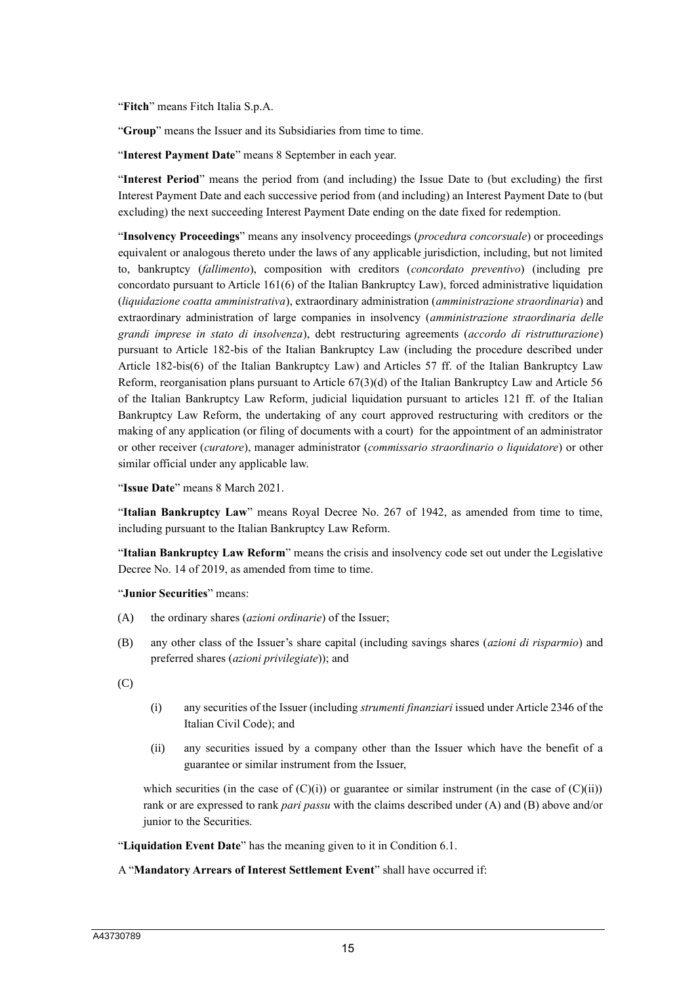"**Fitch**" means Fitch Italia S.p.A.

"**Group**" means the Issuer and its Subsidiaries from time to time.

"**Interest Payment Date**" means 8 September in each year.

"**Interest Period**" means the period from (and including) the Issue Date to (but excluding) the first Interest Payment Date and each successive period from (and including) an Interest Payment Date to (but excluding) the next succeeding Interest Payment Date ending on the date fixed for redemption.

"**Insolvency Proceedings**" means any insolvency proceedings (*procedura concorsuale*) or proceedings equivalent or analogous thereto under the laws of any applicable jurisdiction, including, but not limited to, bankruptcy (*fallimento*), composition with creditors (*concordato preventivo*) (including pre concordato pursuant to Article 161(6) of the Italian Bankruptcy Law), forced administrative liquidation (*liquidazione coatta amministrativa*), extraordinary administration (*amministrazione straordinaria*) and extraordinary administration of large companies in insolvency (*amministrazione straordinaria delle grandi imprese in stato di insolvenza*), debt restructuring agreements (*accordo di ristrutturazione*) pursuant to Article 182-bis of the Italian Bankruptcy Law (including the procedure described under Article 182-bis(6) of the Italian Bankruptcy Law) and Articles 57 ff. of the Italian Bankruptcy Law Reform, reorganisation plans pursuant to Article 67(3)(d) of the Italian Bankruptcy Law and Article 56 of the Italian Bankruptcy Law Reform, judicial liquidation pursuant to articles 121 ff. of the Italian Bankruptcy Law Reform, the undertaking of any court approved restructuring with creditors or the making of any application (or filing of documents with a court) for the appointment of an administrator or other receiver (*curatore*), manager administrator (*commissario straordinario o liquidatore*) or other similar official under any applicable law.

"**Issue Date**" means 8 March 2021.

"**Italian Bankruptcy Law**" means Royal Decree No. 267 of 1942, as amended from time to time, including pursuant to the Italian Bankruptcy Law Reform.

"**Italian Bankruptcy Law Reform**" means the crisis and insolvency code set out under the Legislative Decree No. 14 of 2019, as amended from time to time.

"**Junior Securities**" means:

- (A) the ordinary shares (*azioni ordinarie*) of the Issuer;
- (B) any other class of the Issuer's share capital (including savings shares (*azioni di risparmio*) and preferred shares (*azioni privilegiate*)); and

(C)

- (i) any securities of the Issuer (including *strumenti finanziari* issued under Article 2346 of the Italian Civil Code); and
- (ii) any securities issued by a company other than the Issuer which have the benefit of a guarantee or similar instrument from the Issuer,

which securities (in the case of  $(C)(i)$ ) or guarantee or similar instrument (in the case of  $(C)(ii)$ ) rank or are expressed to rank *pari passu* with the claims described under (A) and (B) above and/or junior to the Securities.

"**Liquidation Event Date**" has the meaning given to it in Condition 6.1.

#### A "**Mandatory Arrears of Interest Settlement Event**" shall have occurred if: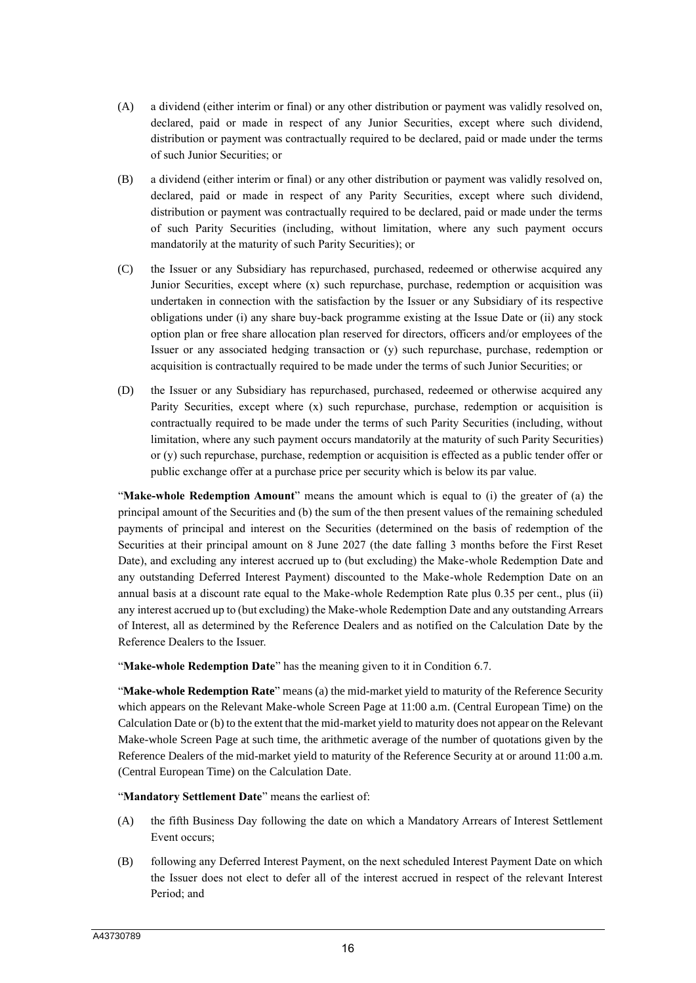- (A) a dividend (either interim or final) or any other distribution or payment was validly resolved on, declared, paid or made in respect of any Junior Securities, except where such dividend, distribution or payment was contractually required to be declared, paid or made under the terms of such Junior Securities; or
- (B) a dividend (either interim or final) or any other distribution or payment was validly resolved on, declared, paid or made in respect of any Parity Securities, except where such dividend, distribution or payment was contractually required to be declared, paid or made under the terms of such Parity Securities (including, without limitation, where any such payment occurs mandatorily at the maturity of such Parity Securities); or
- (C) the Issuer or any Subsidiary has repurchased, purchased, redeemed or otherwise acquired any Junior Securities, except where (x) such repurchase, purchase, redemption or acquisition was undertaken in connection with the satisfaction by the Issuer or any Subsidiary of its respective obligations under (i) any share buy-back programme existing at the Issue Date or (ii) any stock option plan or free share allocation plan reserved for directors, officers and/or employees of the Issuer or any associated hedging transaction or (y) such repurchase, purchase, redemption or acquisition is contractually required to be made under the terms of such Junior Securities; or
- (D) the Issuer or any Subsidiary has repurchased, purchased, redeemed or otherwise acquired any Parity Securities, except where (x) such repurchase, purchase, redemption or acquisition is contractually required to be made under the terms of such Parity Securities (including, without limitation, where any such payment occurs mandatorily at the maturity of such Parity Securities) or (y) such repurchase, purchase, redemption or acquisition is effected as a public tender offer or public exchange offer at a purchase price per security which is below its par value.

"**Make-whole Redemption Amount**" means the amount which is equal to (i) the greater of (a) the principal amount of the Securities and (b) the sum of the then present values of the remaining scheduled payments of principal and interest on the Securities (determined on the basis of redemption of the Securities at their principal amount on 8 June 2027 (the date falling 3 months before the First Reset Date), and excluding any interest accrued up to (but excluding) the Make-whole Redemption Date and any outstanding Deferred Interest Payment) discounted to the Make-whole Redemption Date on an annual basis at a discount rate equal to the Make-whole Redemption Rate plus 0.35 per cent., plus (ii) any interest accrued up to (but excluding) the Make-whole Redemption Date and any outstanding Arrears of Interest, all as determined by the Reference Dealers and as notified on the Calculation Date by the Reference Dealers to the Issuer.

"**Make-whole Redemption Date**" has the meaning given to it in Condition 6.7.

"**Make-whole Redemption Rate**" means (a) the mid-market yield to maturity of the Reference Security which appears on the Relevant Make-whole Screen Page at 11:00 a.m. (Central European Time) on the Calculation Date or (b) to the extent that the mid-market yield to maturity does not appear on the Relevant Make-whole Screen Page at such time, the arithmetic average of the number of quotations given by the Reference Dealers of the mid-market yield to maturity of the Reference Security at or around 11:00 a.m. (Central European Time) on the Calculation Date.

"**Mandatory Settlement Date**" means the earliest of:

- (A) the fifth Business Day following the date on which a Mandatory Arrears of Interest Settlement Event occurs;
- (B) following any Deferred Interest Payment, on the next scheduled Interest Payment Date on which the Issuer does not elect to defer all of the interest accrued in respect of the relevant Interest Period; and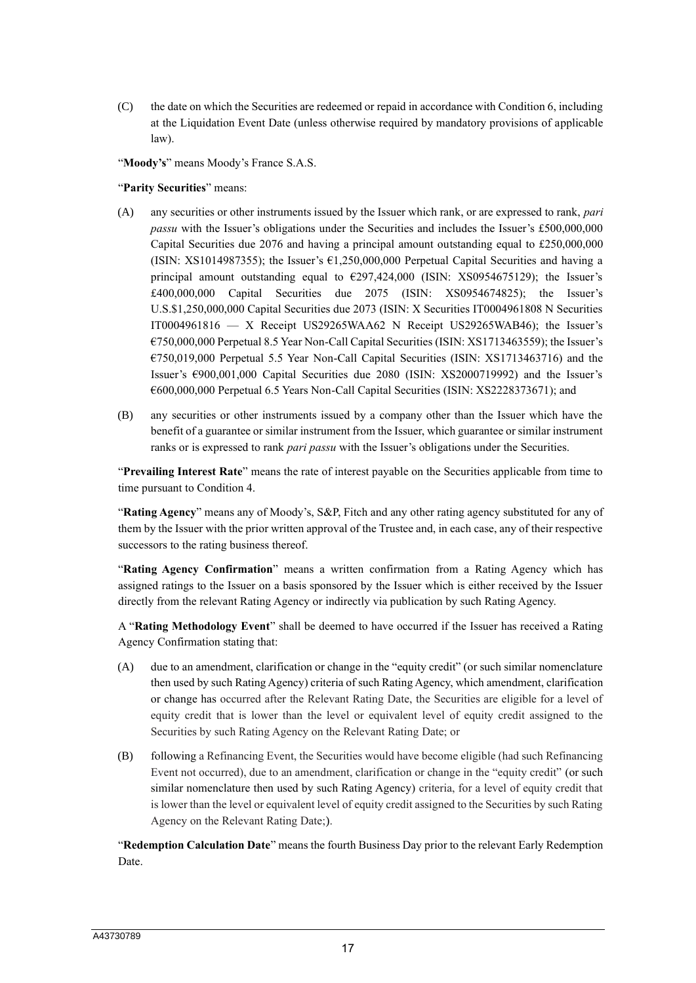(C) the date on which the Securities are redeemed or repaid in accordance with Condition 6, including at the Liquidation Event Date (unless otherwise required by mandatory provisions of applicable law).

"**Moody's**" means Moody's France S.A.S.

#### "**Parity Securities**" means:

- (A) any securities or other instruments issued by the Issuer which rank, or are expressed to rank, *pari passu* with the Issuer's obligations under the Securities and includes the Issuer's £500,000,000 Capital Securities due 2076 and having a principal amount outstanding equal to £250,000,000 (ISIN: XS1014987355); the Issuer's  $\epsilon$ 1,250,000,000 Perpetual Capital Securities and having a principal amount outstanding equal to €297,424,000 (ISIN: XS0954675129); the Issuer's £400,000,000 Capital Securities due 2075 (ISIN: XS0954674825); the Issuer's U.S.\$1,250,000,000 Capital Securities due 2073 (ISIN: X Securities IT0004961808 N Securities IT0004961816 — X Receipt US29265WAA62 N Receipt US29265WAB46); the Issuer's €750,000,000 Perpetual 8.5 Year Non-Call Capital Securities (ISIN: XS1713463559); the Issuer's €750,019,000 Perpetual 5.5 Year Non-Call Capital Securities (ISIN: XS1713463716) and the Issuer's €900,001,000 Capital Securities due 2080 (ISIN: XS2000719992) and the Issuer's €600,000,000 Perpetual 6.5 Years Non-Call Capital Securities (ISIN: XS2228373671); and
- (B) any securities or other instruments issued by a company other than the Issuer which have the benefit of a guarantee or similar instrument from the Issuer, which guarantee or similar instrument ranks or is expressed to rank *pari passu* with the Issuer's obligations under the Securities.

"**Prevailing Interest Rate**" means the rate of interest payable on the Securities applicable from time to time pursuant to Condition 4.

"**Rating Agency**" means any of Moody's, S&P, Fitch and any other rating agency substituted for any of them by the Issuer with the prior written approval of the Trustee and, in each case, any of their respective successors to the rating business thereof.

"**Rating Agency Confirmation**" means a written confirmation from a Rating Agency which has assigned ratings to the Issuer on a basis sponsored by the Issuer which is either received by the Issuer directly from the relevant Rating Agency or indirectly via publication by such Rating Agency.

A "**Rating Methodology Event**" shall be deemed to have occurred if the Issuer has received a Rating Agency Confirmation stating that:

- (A) due to an amendment, clarification or change in the "equity credit" (or such similar nomenclature then used by such Rating Agency) criteria of such Rating Agency, which amendment, clarification or change has occurred after the Relevant Rating Date, the Securities are eligible for a level of equity credit that is lower than the level or equivalent level of equity credit assigned to the Securities by such Rating Agency on the Relevant Rating Date; or
- (B) following a Refinancing Event, the Securities would have become eligible (had such Refinancing Event not occurred), due to an amendment, clarification or change in the "equity credit" (or such similar nomenclature then used by such Rating Agency) criteria, for a level of equity credit that is lower than the level or equivalent level of equity credit assigned to the Securities by such Rating Agency on the Relevant Rating Date;).

"**Redemption Calculation Date**" means the fourth Business Day prior to the relevant Early Redemption Date.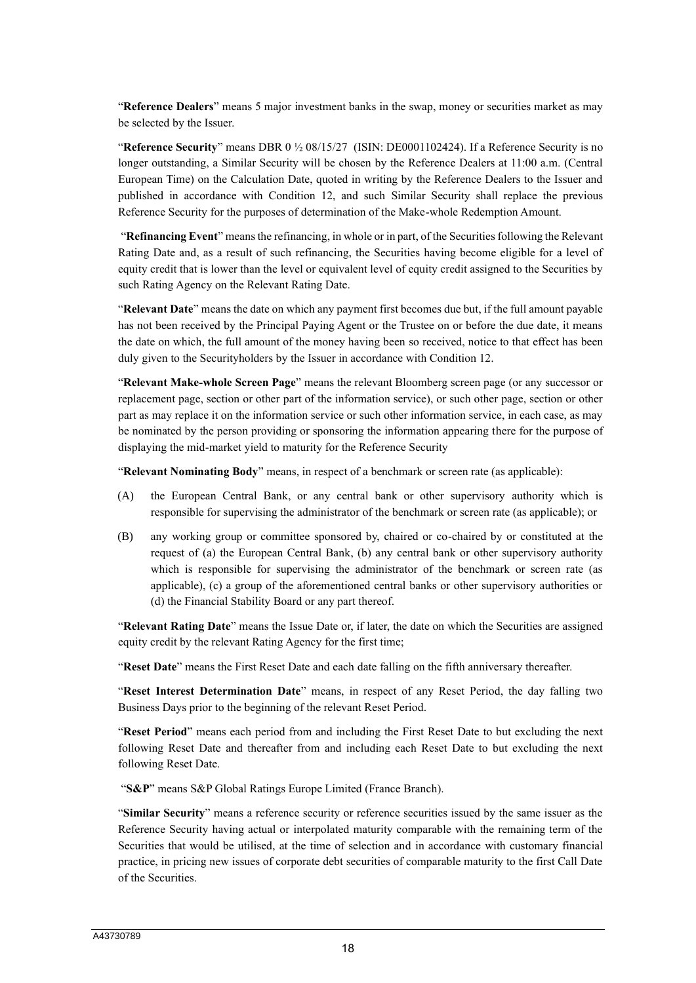"**Reference Dealers**" means 5 major investment banks in the swap, money or securities market as may be selected by the Issuer.

"**Reference Security**" means DBR 0 ½ 08/15/27 (ISIN: DE0001102424). If a Reference Security is no longer outstanding, a Similar Security will be chosen by the Reference Dealers at 11:00 a.m. (Central European Time) on the Calculation Date, quoted in writing by the Reference Dealers to the Issuer and published in accordance with Condition 12, and such Similar Security shall replace the previous Reference Security for the purposes of determination of the Make-whole Redemption Amount.

"**Refinancing Event**" means the refinancing, in whole or in part, of the Securities following the Relevant Rating Date and, as a result of such refinancing, the Securities having become eligible for a level of equity credit that is lower than the level or equivalent level of equity credit assigned to the Securities by such Rating Agency on the Relevant Rating Date.

"**Relevant Date**" means the date on which any payment first becomes due but, if the full amount payable has not been received by the Principal Paying Agent or the Trustee on or before the due date, it means the date on which, the full amount of the money having been so received, notice to that effect has been duly given to the Securityholders by the Issuer in accordance with Condition 12.

"**Relevant Make-whole Screen Page**" means the relevant Bloomberg screen page (or any successor or replacement page, section or other part of the information service), or such other page, section or other part as may replace it on the information service or such other information service, in each case, as may be nominated by the person providing or sponsoring the information appearing there for the purpose of displaying the mid-market yield to maturity for the Reference Security

"**Relevant Nominating Body**" means, in respect of a benchmark or screen rate (as applicable):

- (A) the European Central Bank, or any central bank or other supervisory authority which is responsible for supervising the administrator of the benchmark or screen rate (as applicable); or
- (B) any working group or committee sponsored by, chaired or co-chaired by or constituted at the request of (a) the European Central Bank, (b) any central bank or other supervisory authority which is responsible for supervising the administrator of the benchmark or screen rate (as applicable), (c) a group of the aforementioned central banks or other supervisory authorities or (d) the Financial Stability Board or any part thereof.

"**Relevant Rating Date**" means the Issue Date or, if later, the date on which the Securities are assigned equity credit by the relevant Rating Agency for the first time;

"**Reset Date**" means the First Reset Date and each date falling on the fifth anniversary thereafter.

"**Reset Interest Determination Date**" means, in respect of any Reset Period, the day falling two Business Days prior to the beginning of the relevant Reset Period.

"**Reset Period**" means each period from and including the First Reset Date to but excluding the next following Reset Date and thereafter from and including each Reset Date to but excluding the next following Reset Date.

"**S&P**" means S&P Global Ratings Europe Limited (France Branch).

"**Similar Security**" means a reference security or reference securities issued by the same issuer as the Reference Security having actual or interpolated maturity comparable with the remaining term of the Securities that would be utilised, at the time of selection and in accordance with customary financial practice, in pricing new issues of corporate debt securities of comparable maturity to the first Call Date of the Securities.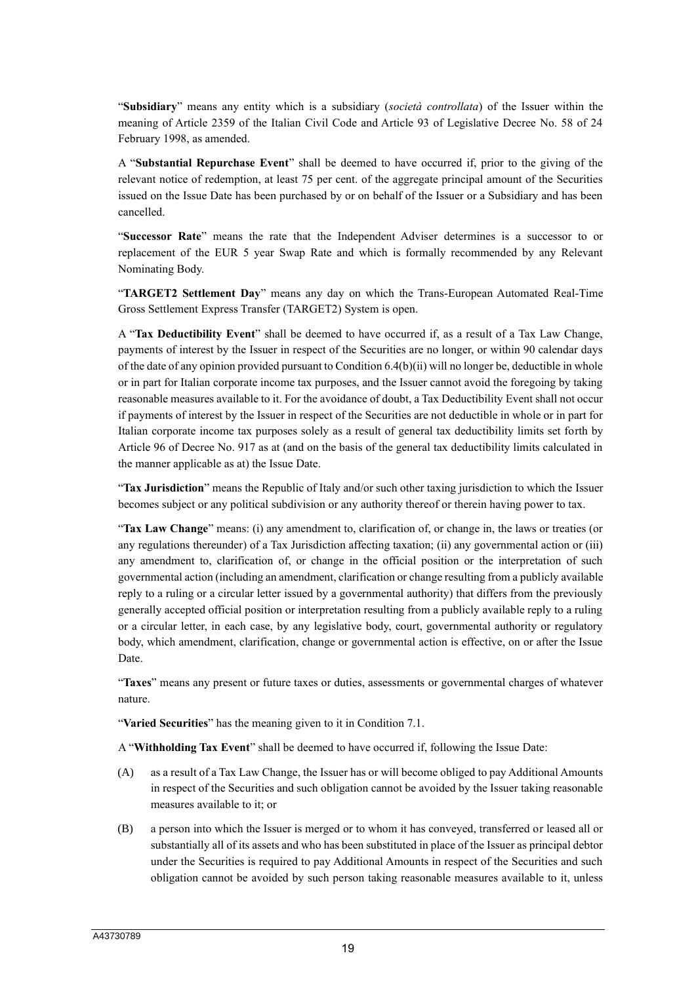"**Subsidiary**" means any entity which is a subsidiary (*società controllata*) of the Issuer within the meaning of Article 2359 of the Italian Civil Code and Article 93 of Legislative Decree No. 58 of 24 February 1998, as amended.

A "**Substantial Repurchase Event**" shall be deemed to have occurred if, prior to the giving of the relevant notice of redemption, at least 75 per cent. of the aggregate principal amount of the Securities issued on the Issue Date has been purchased by or on behalf of the Issuer or a Subsidiary and has been cancelled.

"**Successor Rate**" means the rate that the Independent Adviser determines is a successor to or replacement of the EUR 5 year Swap Rate and which is formally recommended by any Relevant Nominating Body.

"**TARGET2 Settlement Day**" means any day on which the Trans-European Automated Real-Time Gross Settlement Express Transfer (TARGET2) System is open.

A "**Tax Deductibility Event**" shall be deemed to have occurred if, as a result of a Tax Law Change, payments of interest by the Issuer in respect of the Securities are no longer, or within 90 calendar days of the date of any opinion provided pursuant to Condition 6.4(b)(ii) will no longer be, deductible in whole or in part for Italian corporate income tax purposes, and the Issuer cannot avoid the foregoing by taking reasonable measures available to it. For the avoidance of doubt, a Tax Deductibility Event shall not occur if payments of interest by the Issuer in respect of the Securities are not deductible in whole or in part for Italian corporate income tax purposes solely as a result of general tax deductibility limits set forth by Article 96 of Decree No. 917 as at (and on the basis of the general tax deductibility limits calculated in the manner applicable as at) the Issue Date.

"**Tax Jurisdiction**" means the Republic of Italy and/or such other taxing jurisdiction to which the Issuer becomes subject or any political subdivision or any authority thereof or therein having power to tax.

"**Tax Law Change**" means: (i) any amendment to, clarification of, or change in, the laws or treaties (or any regulations thereunder) of a Tax Jurisdiction affecting taxation; (ii) any governmental action or (iii) any amendment to, clarification of, or change in the official position or the interpretation of such governmental action (including an amendment, clarification or change resulting from a publicly available reply to a ruling or a circular letter issued by a governmental authority) that differs from the previously generally accepted official position or interpretation resulting from a publicly available reply to a ruling or a circular letter, in each case, by any legislative body, court, governmental authority or regulatory body, which amendment, clarification, change or governmental action is effective, on or after the Issue Date.

"**Taxes**" means any present or future taxes or duties, assessments or governmental charges of whatever nature.

"**Varied Securities**" has the meaning given to it in Condition 7.1.

A "**Withholding Tax Event**" shall be deemed to have occurred if, following the Issue Date:

- (A) as a result of a Tax Law Change, the Issuer has or will become obliged to pay Additional Amounts in respect of the Securities and such obligation cannot be avoided by the Issuer taking reasonable measures available to it; or
- (B) a person into which the Issuer is merged or to whom it has conveyed, transferred or leased all or substantially all of its assets and who has been substituted in place of the Issuer as principal debtor under the Securities is required to pay Additional Amounts in respect of the Securities and such obligation cannot be avoided by such person taking reasonable measures available to it, unless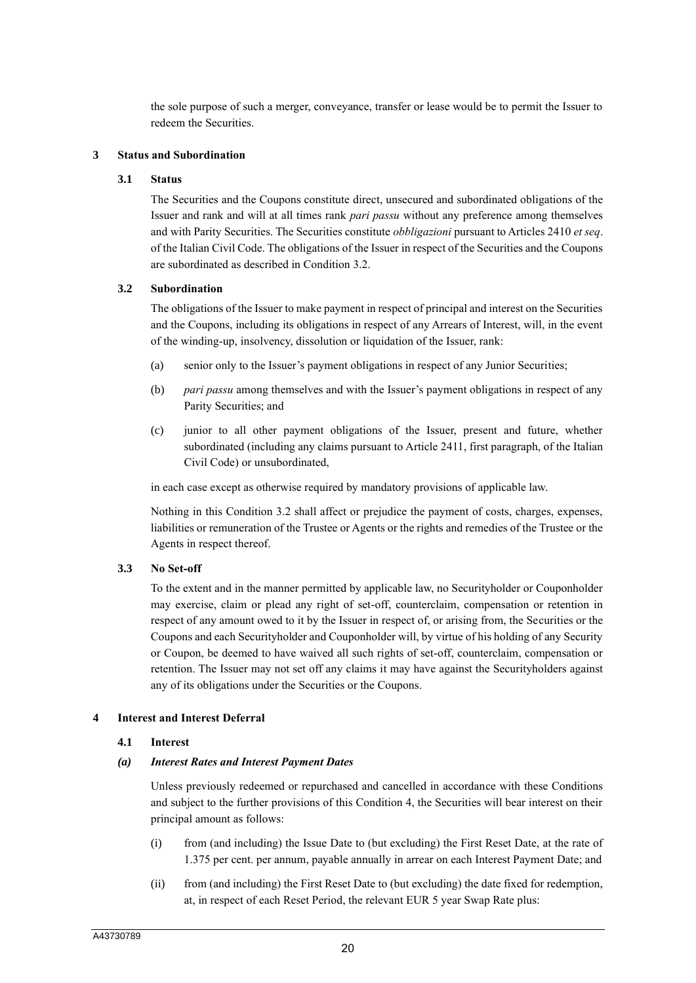the sole purpose of such a merger, conveyance, transfer or lease would be to permit the Issuer to redeem the Securities.

### **3 Status and Subordination**

### **3.1 Status**

The Securities and the Coupons constitute direct, unsecured and subordinated obligations of the Issuer and rank and will at all times rank *pari passu* without any preference among themselves and with Parity Securities. The Securities constitute *obbligazioni* pursuant to Articles 2410 *et seq*. of the Italian Civil Code. The obligations of the Issuer in respect of the Securities and the Coupons are subordinated as described in Condition 3.2.

### **3.2 Subordination**

The obligations of the Issuer to make payment in respect of principal and interest on the Securities and the Coupons, including its obligations in respect of any Arrears of Interest, will, in the event of the winding-up, insolvency, dissolution or liquidation of the Issuer, rank:

- (a) senior only to the Issuer's payment obligations in respect of any Junior Securities;
- (b) *pari passu* among themselves and with the Issuer's payment obligations in respect of any Parity Securities; and
- (c) junior to all other payment obligations of the Issuer, present and future, whether subordinated (including any claims pursuant to Article 2411, first paragraph, of the Italian Civil Code) or unsubordinated,

in each case except as otherwise required by mandatory provisions of applicable law.

Nothing in this Condition 3.2 shall affect or prejudice the payment of costs, charges, expenses, liabilities or remuneration of the Trustee or Agents or the rights and remedies of the Trustee or the Agents in respect thereof.

### **3.3 No Set-off**

To the extent and in the manner permitted by applicable law, no Securityholder or Couponholder may exercise, claim or plead any right of set-off, counterclaim, compensation or retention in respect of any amount owed to it by the Issuer in respect of, or arising from, the Securities or the Coupons and each Securityholder and Couponholder will, by virtue of his holding of any Security or Coupon, be deemed to have waived all such rights of set-off, counterclaim, compensation or retention. The Issuer may not set off any claims it may have against the Securityholders against any of its obligations under the Securities or the Coupons.

#### **4 Interest and Interest Deferral**

#### **4.1 Interest**

#### *(a) Interest Rates and Interest Payment Dates*

Unless previously redeemed or repurchased and cancelled in accordance with these Conditions and subject to the further provisions of this Condition 4, the Securities will bear interest on their principal amount as follows:

- (i) from (and including) the Issue Date to (but excluding) the First Reset Date, at the rate of 1.375 per cent. per annum, payable annually in arrear on each Interest Payment Date; and
- (ii) from (and including) the First Reset Date to (but excluding) the date fixed for redemption, at, in respect of each Reset Period, the relevant EUR 5 year Swap Rate plus: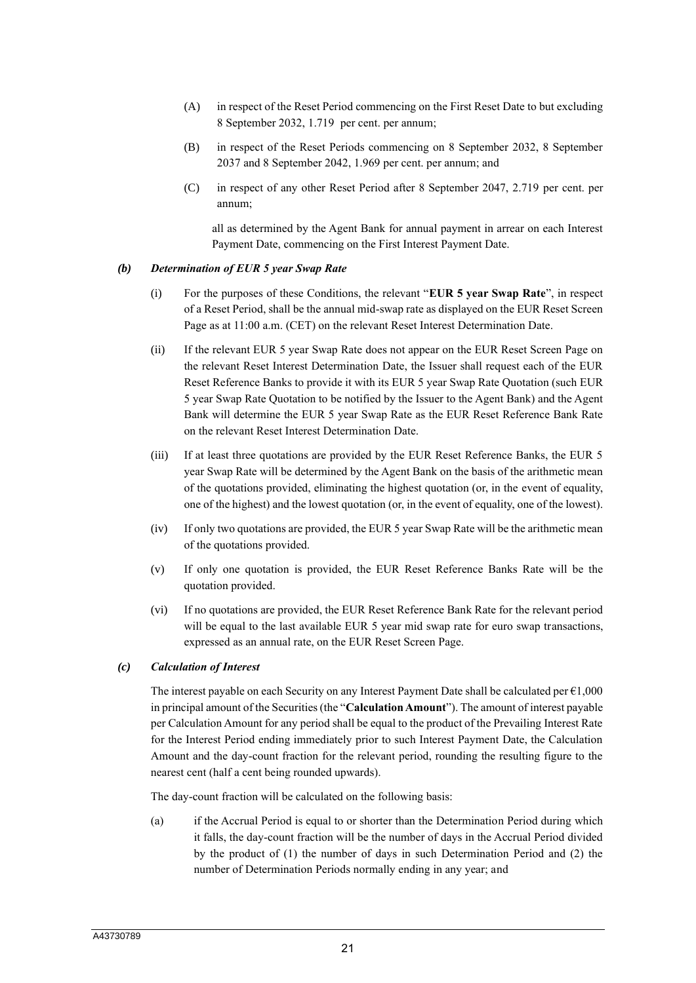- (A) in respect of the Reset Period commencing on the First Reset Date to but excluding 8 September 2032, 1.719 per cent. per annum;
- (B) in respect of the Reset Periods commencing on 8 September 2032, 8 September 2037 and 8 September 2042, 1.969 per cent. per annum; and
- (C) in respect of any other Reset Period after 8 September 2047, 2.719 per cent. per annum;

all as determined by the Agent Bank for annual payment in arrear on each Interest Payment Date, commencing on the First Interest Payment Date.

#### *(b) Determination of EUR 5 year Swap Rate*

- (i) For the purposes of these Conditions, the relevant "**EUR 5 year Swap Rate**", in respect of a Reset Period, shall be the annual mid-swap rate as displayed on the EUR Reset Screen Page as at 11:00 a.m. (CET) on the relevant Reset Interest Determination Date.
- (ii) If the relevant EUR 5 year Swap Rate does not appear on the EUR Reset Screen Page on the relevant Reset Interest Determination Date, the Issuer shall request each of the EUR Reset Reference Banks to provide it with its EUR 5 year Swap Rate Quotation (such EUR 5 year Swap Rate Quotation to be notified by the Issuer to the Agent Bank) and the Agent Bank will determine the EUR 5 year Swap Rate as the EUR Reset Reference Bank Rate on the relevant Reset Interest Determination Date.
- (iii) If at least three quotations are provided by the EUR Reset Reference Banks, the EUR 5 year Swap Rate will be determined by the Agent Bank on the basis of the arithmetic mean of the quotations provided, eliminating the highest quotation (or, in the event of equality, one of the highest) and the lowest quotation (or, in the event of equality, one of the lowest).
- (iv) If only two quotations are provided, the EUR 5 year Swap Rate will be the arithmetic mean of the quotations provided.
- (v) If only one quotation is provided, the EUR Reset Reference Banks Rate will be the quotation provided.
- (vi) If no quotations are provided, the EUR Reset Reference Bank Rate for the relevant period will be equal to the last available EUR 5 year mid swap rate for euro swap transactions, expressed as an annual rate, on the EUR Reset Screen Page.

### *(c) Calculation of Interest*

The interest payable on each Security on any Interest Payment Date shall be calculated per  $\epsilon$ 1,000 in principal amount of the Securities (the "**Calculation Amount**"). The amount of interest payable per Calculation Amount for any period shall be equal to the product of the Prevailing Interest Rate for the Interest Period ending immediately prior to such Interest Payment Date, the Calculation Amount and the day-count fraction for the relevant period, rounding the resulting figure to the nearest cent (half a cent being rounded upwards).

The day-count fraction will be calculated on the following basis:

(a) if the Accrual Period is equal to or shorter than the Determination Period during which it falls, the day-count fraction will be the number of days in the Accrual Period divided by the product of (1) the number of days in such Determination Period and (2) the number of Determination Periods normally ending in any year; and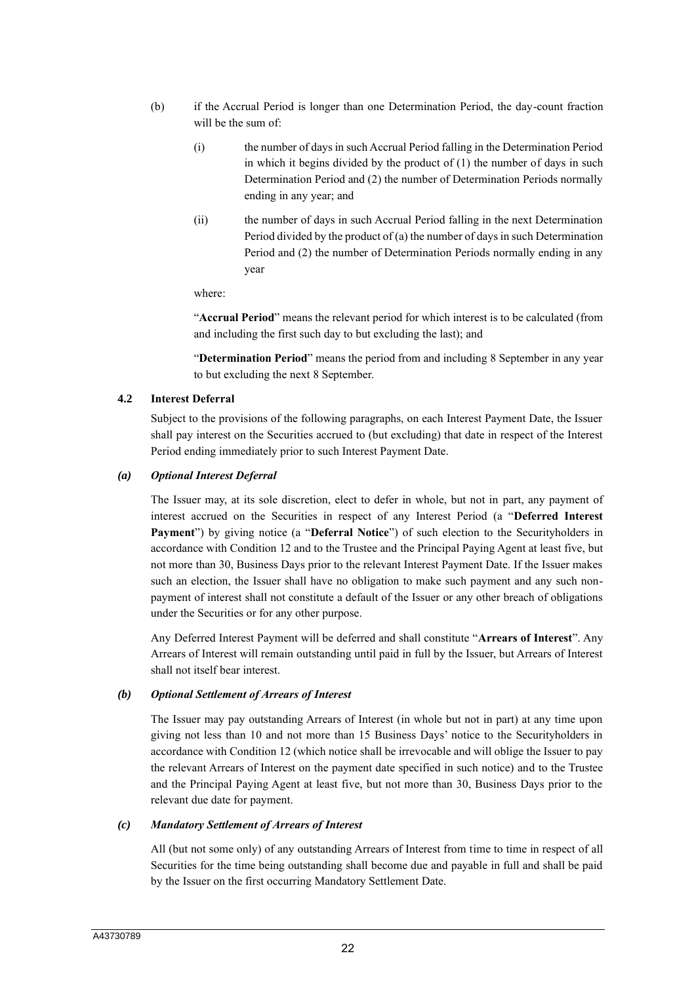- (b) if the Accrual Period is longer than one Determination Period, the day-count fraction will be the sum of:
	- (i) the number of days in such Accrual Period falling in the Determination Period in which it begins divided by the product of (1) the number of days in such Determination Period and (2) the number of Determination Periods normally ending in any year; and
	- (ii) the number of days in such Accrual Period falling in the next Determination Period divided by the product of (a) the number of days in such Determination Period and (2) the number of Determination Periods normally ending in any year

where:

"**Accrual Period**" means the relevant period for which interest is to be calculated (from and including the first such day to but excluding the last); and

"**Determination Period**" means the period from and including 8 September in any year to but excluding the next 8 September.

### **4.2 Interest Deferral**

Subject to the provisions of the following paragraphs, on each Interest Payment Date, the Issuer shall pay interest on the Securities accrued to (but excluding) that date in respect of the Interest Period ending immediately prior to such Interest Payment Date.

#### *(a) Optional Interest Deferral*

The Issuer may, at its sole discretion, elect to defer in whole, but not in part, any payment of interest accrued on the Securities in respect of any Interest Period (a "**Deferred Interest Payment**") by giving notice (a "**Deferral Notice**") of such election to the Securityholders in accordance with Condition 12 and to the Trustee and the Principal Paying Agent at least five, but not more than 30, Business Days prior to the relevant Interest Payment Date. If the Issuer makes such an election, the Issuer shall have no obligation to make such payment and any such nonpayment of interest shall not constitute a default of the Issuer or any other breach of obligations under the Securities or for any other purpose.

Any Deferred Interest Payment will be deferred and shall constitute "**Arrears of Interest**". Any Arrears of Interest will remain outstanding until paid in full by the Issuer, but Arrears of Interest shall not itself bear interest.

### *(b) Optional Settlement of Arrears of Interest*

The Issuer may pay outstanding Arrears of Interest (in whole but not in part) at any time upon giving not less than 10 and not more than 15 Business Days' notice to the Securityholders in accordance with Condition 12 (which notice shall be irrevocable and will oblige the Issuer to pay the relevant Arrears of Interest on the payment date specified in such notice) and to the Trustee and the Principal Paying Agent at least five, but not more than 30, Business Days prior to the relevant due date for payment.

#### *(c) Mandatory Settlement of Arrears of Interest*

All (but not some only) of any outstanding Arrears of Interest from time to time in respect of all Securities for the time being outstanding shall become due and payable in full and shall be paid by the Issuer on the first occurring Mandatory Settlement Date.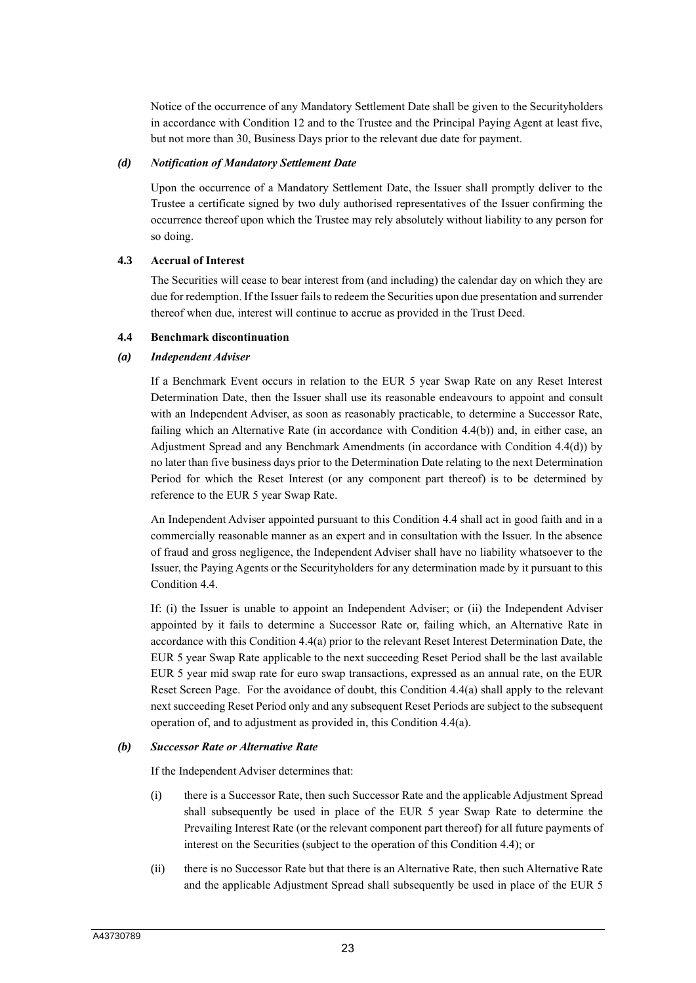Notice of the occurrence of any Mandatory Settlement Date shall be given to the Securityholders in accordance with Condition 12 and to the Trustee and the Principal Paying Agent at least five, but not more than 30, Business Days prior to the relevant due date for payment.

#### *(d) Notification of Mandatory Settlement Date*

Upon the occurrence of a Mandatory Settlement Date, the Issuer shall promptly deliver to the Trustee a certificate signed by two duly authorised representatives of the Issuer confirming the occurrence thereof upon which the Trustee may rely absolutely without liability to any person for so doing.

### **4.3 Accrual of Interest**

The Securities will cease to bear interest from (and including) the calendar day on which they are due for redemption. If the Issuer fails to redeem the Securities upon due presentation and surrender thereof when due, interest will continue to accrue as provided in the Trust Deed.

### **4.4 Benchmark discontinuation**

### *(a) Independent Adviser*

If a Benchmark Event occurs in relation to the EUR 5 year Swap Rate on any Reset Interest Determination Date, then the Issuer shall use its reasonable endeavours to appoint and consult with an Independent Adviser, as soon as reasonably practicable, to determine a Successor Rate, failing which an Alternative Rate (in accordance with Condition 4.4(b)) and, in either case, an Adjustment Spread and any Benchmark Amendments (in accordance with Condition 4.4(d)) by no later than five business days prior to the Determination Date relating to the next Determination Period for which the Reset Interest (or any component part thereof) is to be determined by reference to the EUR 5 year Swap Rate.

An Independent Adviser appointed pursuant to this Condition 4.4 shall act in good faith and in a commercially reasonable manner as an expert and in consultation with the Issuer. In the absence of fraud and gross negligence, the Independent Adviser shall have no liability whatsoever to the Issuer, the Paying Agents or the Securityholders for any determination made by it pursuant to this Condition 4.4.

If: (i) the Issuer is unable to appoint an Independent Adviser; or (ii) the Independent Adviser appointed by it fails to determine a Successor Rate or, failing which, an Alternative Rate in accordance with this Condition 4.4(a) prior to the relevant Reset Interest Determination Date, the EUR 5 year Swap Rate applicable to the next succeeding Reset Period shall be the last available EUR 5 year mid swap rate for euro swap transactions, expressed as an annual rate, on the EUR Reset Screen Page. For the avoidance of doubt, this Condition 4.4(a) shall apply to the relevant next succeeding Reset Period only and any subsequent Reset Periods are subject to the subsequent operation of, and to adjustment as provided in, this Condition 4.4(a).

#### *(b) Successor Rate or Alternative Rate*

If the Independent Adviser determines that:

- (i) there is a Successor Rate, then such Successor Rate and the applicable Adjustment Spread shall subsequently be used in place of the EUR 5 year Swap Rate to determine the Prevailing Interest Rate (or the relevant component part thereof) for all future payments of interest on the Securities (subject to the operation of this Condition 4.4); or
- (ii) there is no Successor Rate but that there is an Alternative Rate, then such Alternative Rate and the applicable Adjustment Spread shall subsequently be used in place of the EUR 5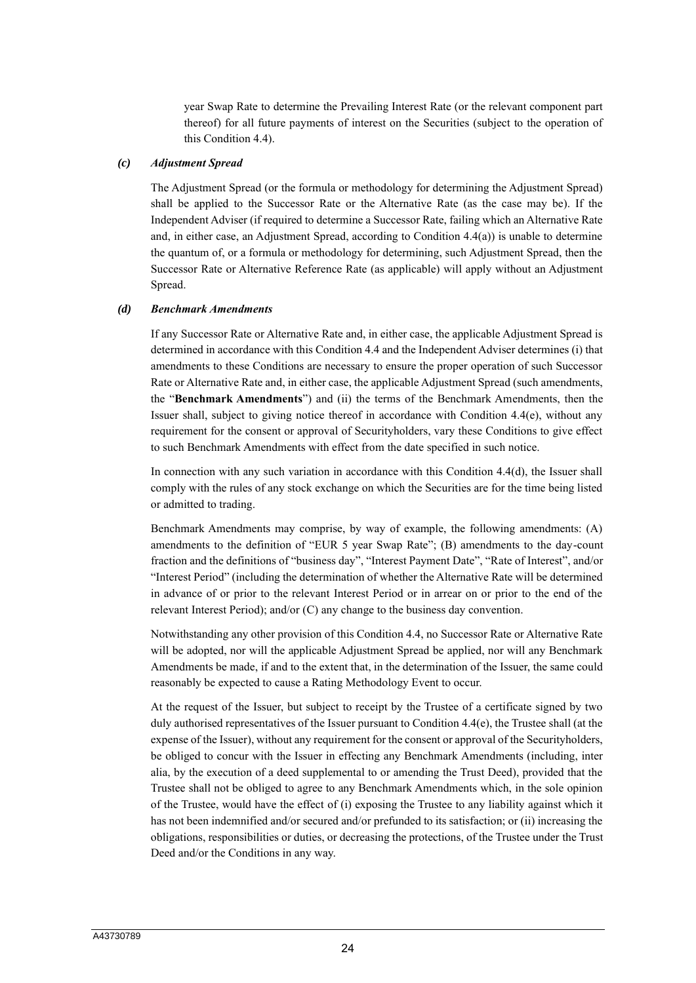year Swap Rate to determine the Prevailing Interest Rate (or the relevant component part thereof) for all future payments of interest on the Securities (subject to the operation of this Condition 4.4).

#### *(c) Adjustment Spread*

The Adjustment Spread (or the formula or methodology for determining the Adjustment Spread) shall be applied to the Successor Rate or the Alternative Rate (as the case may be). If the Independent Adviser (if required to determine a Successor Rate, failing which an Alternative Rate and, in either case, an Adjustment Spread, according to Condition 4.4(a)) is unable to determine the quantum of, or a formula or methodology for determining, such Adjustment Spread, then the Successor Rate or Alternative Reference Rate (as applicable) will apply without an Adjustment Spread.

#### *(d) Benchmark Amendments*

If any Successor Rate or Alternative Rate and, in either case, the applicable Adjustment Spread is determined in accordance with this Condition 4.4 and the Independent Adviser determines (i) that amendments to these Conditions are necessary to ensure the proper operation of such Successor Rate or Alternative Rate and, in either case, the applicable Adjustment Spread (such amendments, the "**Benchmark Amendments**") and (ii) the terms of the Benchmark Amendments, then the Issuer shall, subject to giving notice thereof in accordance with Condition 4.4(e), without any requirement for the consent or approval of Securityholders, vary these Conditions to give effect to such Benchmark Amendments with effect from the date specified in such notice.

In connection with any such variation in accordance with this Condition 4.4(d), the Issuer shall comply with the rules of any stock exchange on which the Securities are for the time being listed or admitted to trading.

Benchmark Amendments may comprise, by way of example, the following amendments: (A) amendments to the definition of "EUR 5 year Swap Rate"; (B) amendments to the day-count fraction and the definitions of "business day", "Interest Payment Date", "Rate of Interest", and/or "Interest Period" (including the determination of whether the Alternative Rate will be determined in advance of or prior to the relevant Interest Period or in arrear on or prior to the end of the relevant Interest Period); and/or (C) any change to the business day convention.

Notwithstanding any other provision of this Condition 4.4, no Successor Rate or Alternative Rate will be adopted, nor will the applicable Adjustment Spread be applied, nor will any Benchmark Amendments be made, if and to the extent that, in the determination of the Issuer, the same could reasonably be expected to cause a Rating Methodology Event to occur.

At the request of the Issuer, but subject to receipt by the Trustee of a certificate signed by two duly authorised representatives of the Issuer pursuant to Condition 4.4(e), the Trustee shall (at the expense of the Issuer), without any requirement for the consent or approval of the Securityholders, be obliged to concur with the Issuer in effecting any Benchmark Amendments (including, inter alia, by the execution of a deed supplemental to or amending the Trust Deed), provided that the Trustee shall not be obliged to agree to any Benchmark Amendments which, in the sole opinion of the Trustee, would have the effect of (i) exposing the Trustee to any liability against which it has not been indemnified and/or secured and/or prefunded to its satisfaction; or (ii) increasing the obligations, responsibilities or duties, or decreasing the protections, of the Trustee under the Trust Deed and/or the Conditions in any way.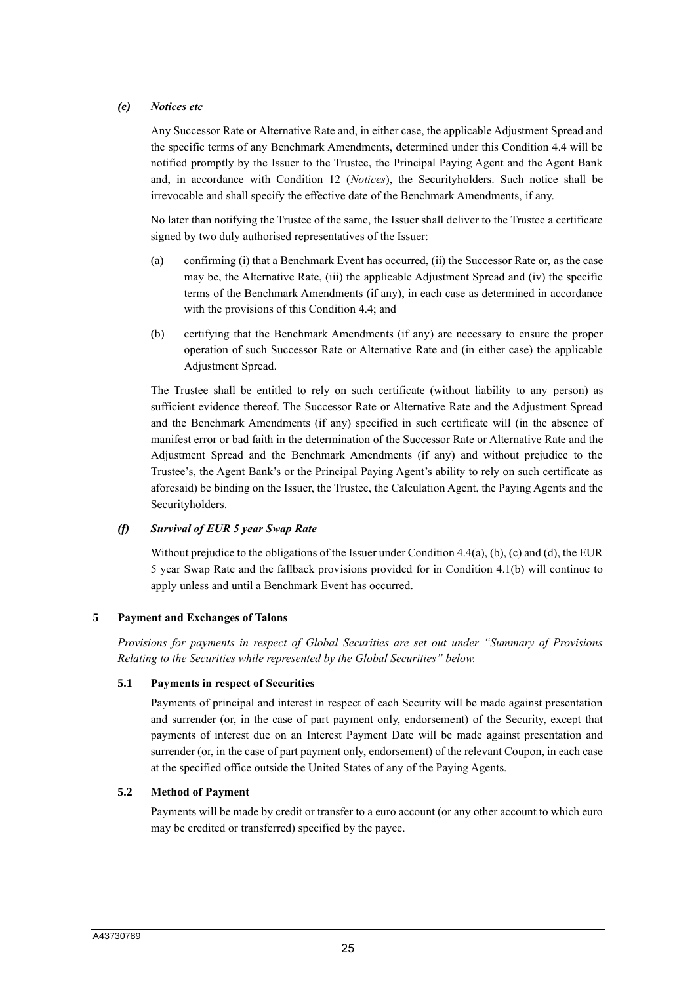### *(e) Notices etc*

Any Successor Rate or Alternative Rate and, in either case, the applicable Adjustment Spread and the specific terms of any Benchmark Amendments, determined under this Condition 4.4 will be notified promptly by the Issuer to the Trustee, the Principal Paying Agent and the Agent Bank and, in accordance with Condition 12 (*Notices*), the Securityholders. Such notice shall be irrevocable and shall specify the effective date of the Benchmark Amendments, if any.

No later than notifying the Trustee of the same, the Issuer shall deliver to the Trustee a certificate signed by two duly authorised representatives of the Issuer:

- (a) confirming (i) that a Benchmark Event has occurred, (ii) the Successor Rate or, as the case may be, the Alternative Rate, (iii) the applicable Adjustment Spread and (iv) the specific terms of the Benchmark Amendments (if any), in each case as determined in accordance with the provisions of this Condition 4.4; and
- (b) certifying that the Benchmark Amendments (if any) are necessary to ensure the proper operation of such Successor Rate or Alternative Rate and (in either case) the applicable Adjustment Spread.

The Trustee shall be entitled to rely on such certificate (without liability to any person) as sufficient evidence thereof. The Successor Rate or Alternative Rate and the Adjustment Spread and the Benchmark Amendments (if any) specified in such certificate will (in the absence of manifest error or bad faith in the determination of the Successor Rate or Alternative Rate and the Adjustment Spread and the Benchmark Amendments (if any) and without prejudice to the Trustee's, the Agent Bank's or the Principal Paying Agent's ability to rely on such certificate as aforesaid) be binding on the Issuer, the Trustee, the Calculation Agent, the Paying Agents and the Securityholders.

### *(f) Survival of EUR 5 year Swap Rate*

Without prejudice to the obligations of the Issuer under Condition 4.4(a), (b), (c) and (d), the EUR 5 year Swap Rate and the fallback provisions provided for in Condition 4.1(b) will continue to apply unless and until a Benchmark Event has occurred.

### **5 Payment and Exchanges of Talons**

*Provisions for payments in respect of Global Securities are set out under "Summary of Provisions Relating to the Securities while represented by the Global Securities" below.*

#### **5.1 Payments in respect of Securities**

Payments of principal and interest in respect of each Security will be made against presentation and surrender (or, in the case of part payment only, endorsement) of the Security, except that payments of interest due on an Interest Payment Date will be made against presentation and surrender (or, in the case of part payment only, endorsement) of the relevant Coupon, in each case at the specified office outside the United States of any of the Paying Agents.

#### **5.2 Method of Payment**

Payments will be made by credit or transfer to a euro account (or any other account to which euro may be credited or transferred) specified by the payee.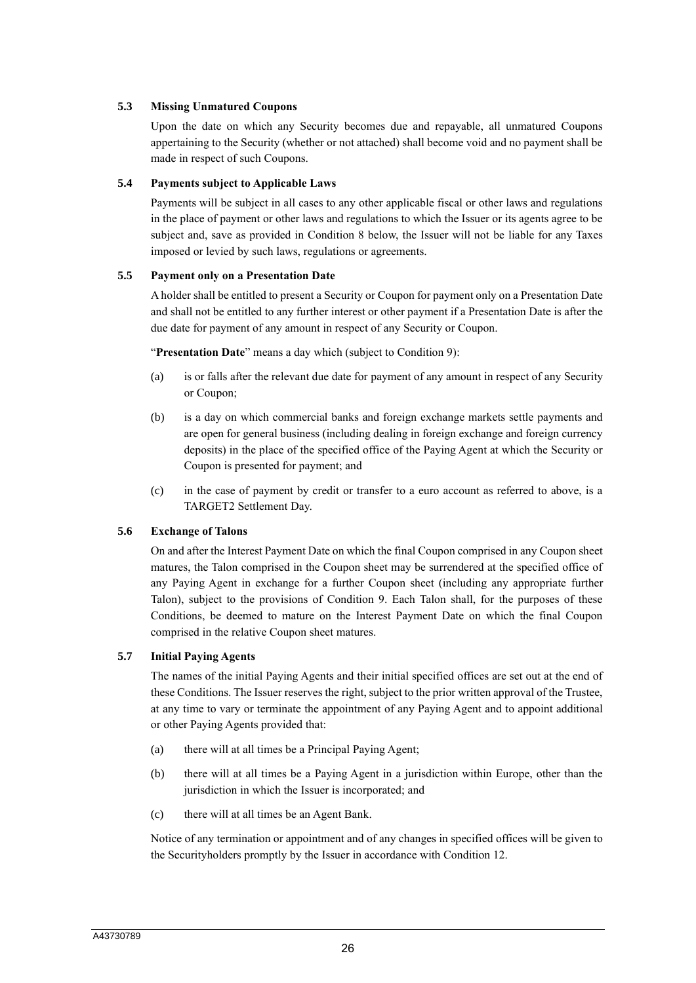### **5.3 Missing Unmatured Coupons**

Upon the date on which any Security becomes due and repayable, all unmatured Coupons appertaining to the Security (whether or not attached) shall become void and no payment shall be made in respect of such Coupons.

### **5.4 Payments subject to Applicable Laws**

Payments will be subject in all cases to any other applicable fiscal or other laws and regulations in the place of payment or other laws and regulations to which the Issuer or its agents agree to be subject and, save as provided in Condition 8 below, the Issuer will not be liable for any Taxes imposed or levied by such laws, regulations or agreements.

### **5.5 Payment only on a Presentation Date**

A holder shall be entitled to present a Security or Coupon for payment only on a Presentation Date and shall not be entitled to any further interest or other payment if a Presentation Date is after the due date for payment of any amount in respect of any Security or Coupon.

"**Presentation Date**" means a day which (subject to Condition 9):

- (a) is or falls after the relevant due date for payment of any amount in respect of any Security or Coupon;
- (b) is a day on which commercial banks and foreign exchange markets settle payments and are open for general business (including dealing in foreign exchange and foreign currency deposits) in the place of the specified office of the Paying Agent at which the Security or Coupon is presented for payment; and
- (c) in the case of payment by credit or transfer to a euro account as referred to above, is a TARGET2 Settlement Day.

### **5.6 Exchange of Talons**

On and after the Interest Payment Date on which the final Coupon comprised in any Coupon sheet matures, the Talon comprised in the Coupon sheet may be surrendered at the specified office of any Paying Agent in exchange for a further Coupon sheet (including any appropriate further Talon), subject to the provisions of Condition 9. Each Talon shall, for the purposes of these Conditions, be deemed to mature on the Interest Payment Date on which the final Coupon comprised in the relative Coupon sheet matures.

### **5.7 Initial Paying Agents**

The names of the initial Paying Agents and their initial specified offices are set out at the end of these Conditions. The Issuer reserves the right, subject to the prior written approval of the Trustee, at any time to vary or terminate the appointment of any Paying Agent and to appoint additional or other Paying Agents provided that:

- (a) there will at all times be a Principal Paying Agent;
- (b) there will at all times be a Paying Agent in a jurisdiction within Europe, other than the jurisdiction in which the Issuer is incorporated; and
- (c) there will at all times be an Agent Bank.

Notice of any termination or appointment and of any changes in specified offices will be given to the Securityholders promptly by the Issuer in accordance with Condition 12.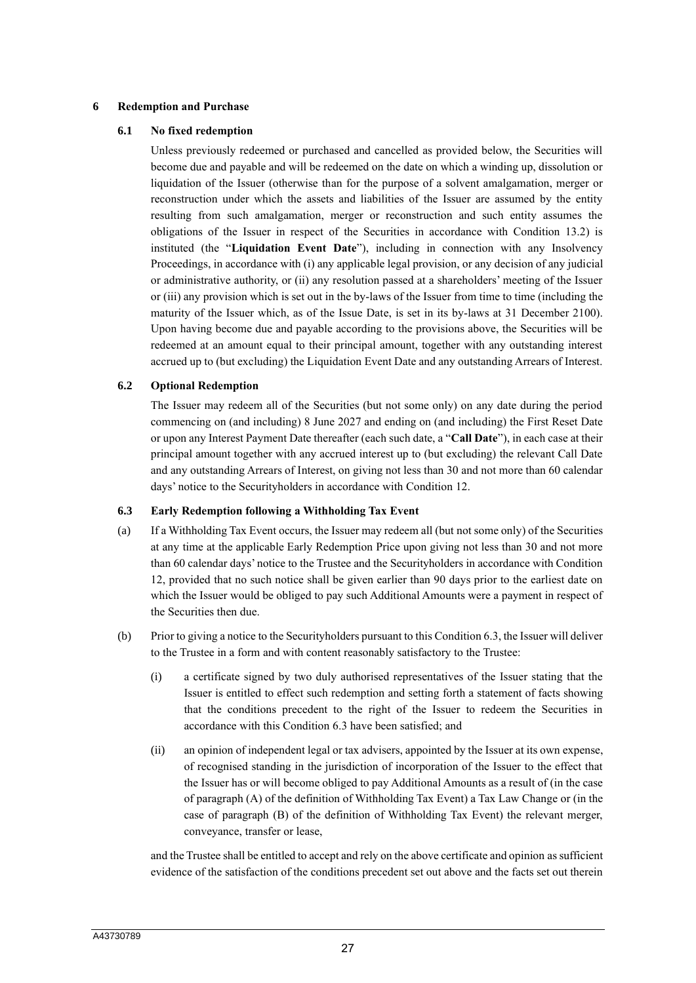#### **6 Redemption and Purchase**

### **6.1 No fixed redemption**

Unless previously redeemed or purchased and cancelled as provided below, the Securities will become due and payable and will be redeemed on the date on which a winding up, dissolution or liquidation of the Issuer (otherwise than for the purpose of a solvent amalgamation, merger or reconstruction under which the assets and liabilities of the Issuer are assumed by the entity resulting from such amalgamation, merger or reconstruction and such entity assumes the obligations of the Issuer in respect of the Securities in accordance with Condition 13.2) is instituted (the "**Liquidation Event Date**"), including in connection with any Insolvency Proceedings, in accordance with (i) any applicable legal provision, or any decision of any judicial or administrative authority, or (ii) any resolution passed at a shareholders' meeting of the Issuer or (iii) any provision which is set out in the by-laws of the Issuer from time to time (including the maturity of the Issuer which, as of the Issue Date, is set in its by-laws at 31 December 2100). Upon having become due and payable according to the provisions above, the Securities will be redeemed at an amount equal to their principal amount, together with any outstanding interest accrued up to (but excluding) the Liquidation Event Date and any outstanding Arrears of Interest.

### **6.2 Optional Redemption**

The Issuer may redeem all of the Securities (but not some only) on any date during the period commencing on (and including) 8 June 2027 and ending on (and including) the First Reset Date or upon any Interest Payment Date thereafter (each such date, a "**Call Date**"), in each case at their principal amount together with any accrued interest up to (but excluding) the relevant Call Date and any outstanding Arrears of Interest, on giving not less than 30 and not more than 60 calendar days' notice to the Securityholders in accordance with Condition 12.

#### **6.3 Early Redemption following a Withholding Tax Event**

- (a) If a Withholding Tax Event occurs, the Issuer may redeem all (but not some only) of the Securities at any time at the applicable Early Redemption Price upon giving not less than 30 and not more than 60 calendar days' notice to the Trustee and the Securityholders in accordance with Condition 12, provided that no such notice shall be given earlier than 90 days prior to the earliest date on which the Issuer would be obliged to pay such Additional Amounts were a payment in respect of the Securities then due.
- (b) Prior to giving a notice to the Securityholders pursuant to this Condition 6.3, the Issuer will deliver to the Trustee in a form and with content reasonably satisfactory to the Trustee:
	- (i) a certificate signed by two duly authorised representatives of the Issuer stating that the Issuer is entitled to effect such redemption and setting forth a statement of facts showing that the conditions precedent to the right of the Issuer to redeem the Securities in accordance with this Condition 6.3 have been satisfied; and
	- (ii) an opinion of independent legal or tax advisers, appointed by the Issuer at its own expense, of recognised standing in the jurisdiction of incorporation of the Issuer to the effect that the Issuer has or will become obliged to pay Additional Amounts as a result of (in the case of paragraph (A) of the definition of Withholding Tax Event) a Tax Law Change or (in the case of paragraph (B) of the definition of Withholding Tax Event) the relevant merger, conveyance, transfer or lease,

and the Trustee shall be entitled to accept and rely on the above certificate and opinion as sufficient evidence of the satisfaction of the conditions precedent set out above and the facts set out therein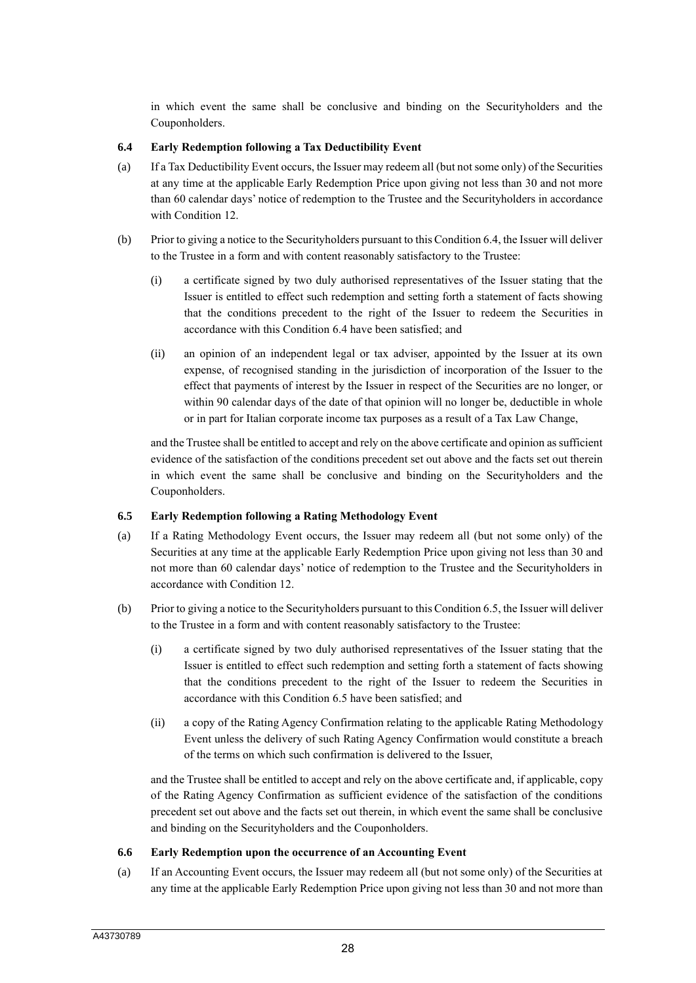in which event the same shall be conclusive and binding on the Securityholders and the Couponholders.

### **6.4 Early Redemption following a Tax Deductibility Event**

- (a) If a Tax Deductibility Event occurs, the Issuer may redeem all (but not some only) of the Securities at any time at the applicable Early Redemption Price upon giving not less than 30 and not more than 60 calendar days' notice of redemption to the Trustee and the Securityholders in accordance with Condition 12.
- (b) Prior to giving a notice to the Securityholders pursuant to this Condition 6.4, the Issuer will deliver to the Trustee in a form and with content reasonably satisfactory to the Trustee:
	- (i) a certificate signed by two duly authorised representatives of the Issuer stating that the Issuer is entitled to effect such redemption and setting forth a statement of facts showing that the conditions precedent to the right of the Issuer to redeem the Securities in accordance with this Condition 6.4 have been satisfied; and
	- (ii) an opinion of an independent legal or tax adviser, appointed by the Issuer at its own expense, of recognised standing in the jurisdiction of incorporation of the Issuer to the effect that payments of interest by the Issuer in respect of the Securities are no longer, or within 90 calendar days of the date of that opinion will no longer be, deductible in whole or in part for Italian corporate income tax purposes as a result of a Tax Law Change,

and the Trustee shall be entitled to accept and rely on the above certificate and opinion as sufficient evidence of the satisfaction of the conditions precedent set out above and the facts set out therein in which event the same shall be conclusive and binding on the Securityholders and the Couponholders.

#### **6.5 Early Redemption following a Rating Methodology Event**

- (a) If a Rating Methodology Event occurs, the Issuer may redeem all (but not some only) of the Securities at any time at the applicable Early Redemption Price upon giving not less than 30 and not more than 60 calendar days' notice of redemption to the Trustee and the Securityholders in accordance with Condition 12.
- (b) Prior to giving a notice to the Securityholders pursuant to this Condition 6.5, the Issuer will deliver to the Trustee in a form and with content reasonably satisfactory to the Trustee:
	- (i) a certificate signed by two duly authorised representatives of the Issuer stating that the Issuer is entitled to effect such redemption and setting forth a statement of facts showing that the conditions precedent to the right of the Issuer to redeem the Securities in accordance with this Condition 6.5 have been satisfied; and
	- (ii) a copy of the Rating Agency Confirmation relating to the applicable Rating Methodology Event unless the delivery of such Rating Agency Confirmation would constitute a breach of the terms on which such confirmation is delivered to the Issuer,

and the Trustee shall be entitled to accept and rely on the above certificate and, if applicable, copy of the Rating Agency Confirmation as sufficient evidence of the satisfaction of the conditions precedent set out above and the facts set out therein, in which event the same shall be conclusive and binding on the Securityholders and the Couponholders.

### **6.6 Early Redemption upon the occurrence of an Accounting Event**

(a) If an Accounting Event occurs, the Issuer may redeem all (but not some only) of the Securities at any time at the applicable Early Redemption Price upon giving not less than 30 and not more than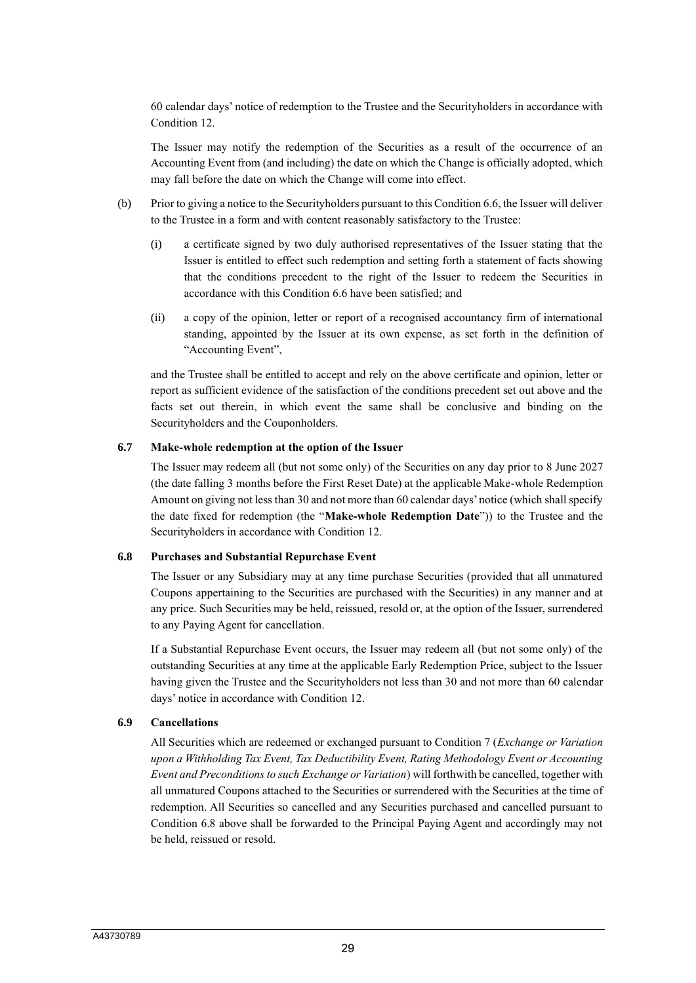60 calendar days' notice of redemption to the Trustee and the Securityholders in accordance with Condition 12.

The Issuer may notify the redemption of the Securities as a result of the occurrence of an Accounting Event from (and including) the date on which the Change is officially adopted, which may fall before the date on which the Change will come into effect.

- (b) Prior to giving a notice to the Securityholders pursuant to this Condition 6.6, the Issuer will deliver to the Trustee in a form and with content reasonably satisfactory to the Trustee:
	- (i) a certificate signed by two duly authorised representatives of the Issuer stating that the Issuer is entitled to effect such redemption and setting forth a statement of facts showing that the conditions precedent to the right of the Issuer to redeem the Securities in accordance with this Condition 6.6 have been satisfied; and
	- (ii) a copy of the opinion, letter or report of a recognised accountancy firm of international standing, appointed by the Issuer at its own expense, as set forth in the definition of "Accounting Event",

and the Trustee shall be entitled to accept and rely on the above certificate and opinion, letter or report as sufficient evidence of the satisfaction of the conditions precedent set out above and the facts set out therein, in which event the same shall be conclusive and binding on the Securityholders and the Couponholders.

#### **6.7 Make-whole redemption at the option of the Issuer**

The Issuer may redeem all (but not some only) of the Securities on any day prior to 8 June 2027 (the date falling 3 months before the First Reset Date) at the applicable Make-whole Redemption Amount on giving not less than 30 and not more than 60 calendar days' notice (which shall specify the date fixed for redemption (the "**Make-whole Redemption Date**")) to the Trustee and the Securityholders in accordance with Condition 12.

#### **6.8 Purchases and Substantial Repurchase Event**

The Issuer or any Subsidiary may at any time purchase Securities (provided that all unmatured Coupons appertaining to the Securities are purchased with the Securities) in any manner and at any price. Such Securities may be held, reissued, resold or, at the option of the Issuer, surrendered to any Paying Agent for cancellation.

If a Substantial Repurchase Event occurs, the Issuer may redeem all (but not some only) of the outstanding Securities at any time at the applicable Early Redemption Price, subject to the Issuer having given the Trustee and the Securityholders not less than 30 and not more than 60 calendar days' notice in accordance with Condition 12.

#### **6.9 Cancellations**

All Securities which are redeemed or exchanged pursuant to Condition 7 (*Exchange or Variation upon a Withholding Tax Event, Tax Deductibility Event, Rating Methodology Event or Accounting Event and Preconditions to such Exchange or Variation*) will forthwith be cancelled, together with all unmatured Coupons attached to the Securities or surrendered with the Securities at the time of redemption. All Securities so cancelled and any Securities purchased and cancelled pursuant to Condition 6.8 above shall be forwarded to the Principal Paying Agent and accordingly may not be held, reissued or resold.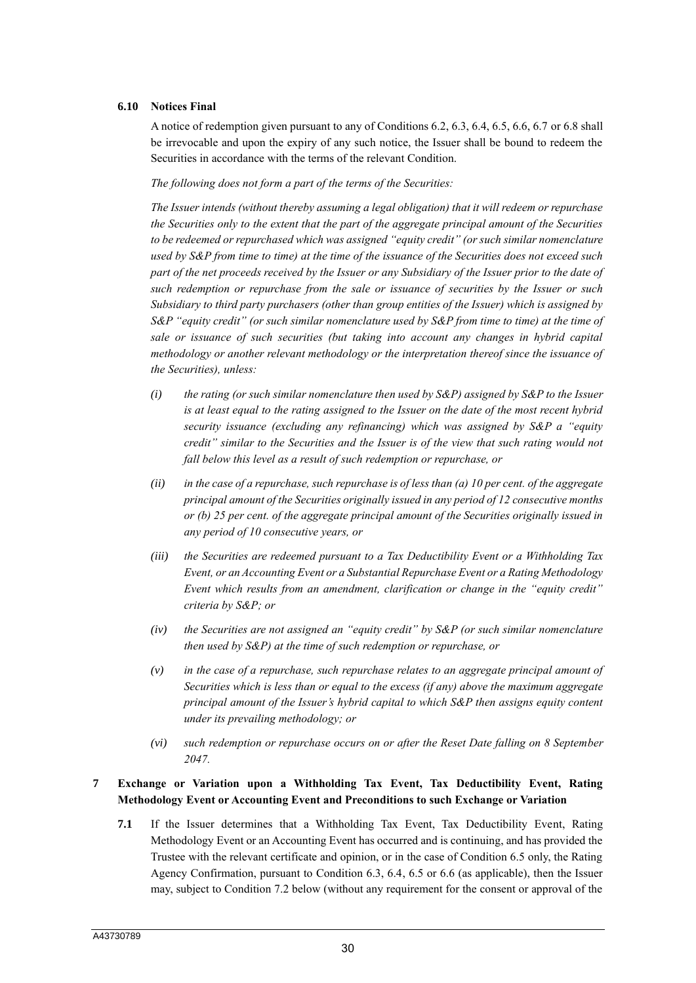#### **6.10 Notices Final**

A notice of redemption given pursuant to any of Conditions 6.2, 6.3, 6.4, 6.5, 6.6, 6.7 or 6.8 shall be irrevocable and upon the expiry of any such notice, the Issuer shall be bound to redeem the Securities in accordance with the terms of the relevant Condition.

*The following does not form a part of the terms of the Securities:*

*The Issuer intends (without thereby assuming a legal obligation) that it will redeem or repurchase the Securities only to the extent that the part of the aggregate principal amount of the Securities to be redeemed or repurchased which was assigned "equity credit" (or such similar nomenclature used by S&P from time to time) at the time of the issuance of the Securities does not exceed such part of the net proceeds received by the Issuer or any Subsidiary of the Issuer prior to the date of such redemption or repurchase from the sale or issuance of securities by the Issuer or such Subsidiary to third party purchasers (other than group entities of the Issuer) which is assigned by S&P "equity credit" (or such similar nomenclature used by S&P from time to time) at the time of sale or issuance of such securities (but taking into account any changes in hybrid capital methodology or another relevant methodology or the interpretation thereof since the issuance of the Securities), unless:*

- *(i) the rating (or such similar nomenclature then used by S&P) assigned by S&P to the Issuer is at least equal to the rating assigned to the Issuer on the date of the most recent hybrid security issuance (excluding any refinancing) which was assigned by S&P a "equity credit" similar to the Securities and the Issuer is of the view that such rating would not fall below this level as a result of such redemption or repurchase, or*
- *(ii) in the case of a repurchase, such repurchase is of less than (a) 10 per cent. of the aggregate principal amount of the Securities originally issued in any period of 12 consecutive months or (b) 25 per cent. of the aggregate principal amount of the Securities originally issued in any period of 10 consecutive years, or*
- *(iii) the Securities are redeemed pursuant to a Tax Deductibility Event or a Withholding Tax Event, or an Accounting Event or a Substantial Repurchase Event or a Rating Methodology Event which results from an amendment, clarification or change in the "equity credit" criteria by S&P; or*
- *(iv) the Securities are not assigned an "equity credit" by S&P (or such similar nomenclature then used by S&P) at the time of such redemption or repurchase, or*
- *(v) in the case of a repurchase, such repurchase relates to an aggregate principal amount of Securities which is less than or equal to the excess (if any) above the maximum aggregate principal amount of the Issuer's hybrid capital to which S&P then assigns equity content under its prevailing methodology; or*
- *(vi) such redemption or repurchase occurs on or after the Reset Date falling on 8 September 2047.*

### **7 Exchange or Variation upon a Withholding Tax Event, Tax Deductibility Event, Rating Methodology Event or Accounting Event and Preconditions to such Exchange or Variation**

**7.1** If the Issuer determines that a Withholding Tax Event, Tax Deductibility Event, Rating Methodology Event or an Accounting Event has occurred and is continuing, and has provided the Trustee with the relevant certificate and opinion, or in the case of Condition 6.5 only, the Rating Agency Confirmation, pursuant to Condition 6.3, 6.4, 6.5 or 6.6 (as applicable), then the Issuer may, subject to Condition 7.2 below (without any requirement for the consent or approval of the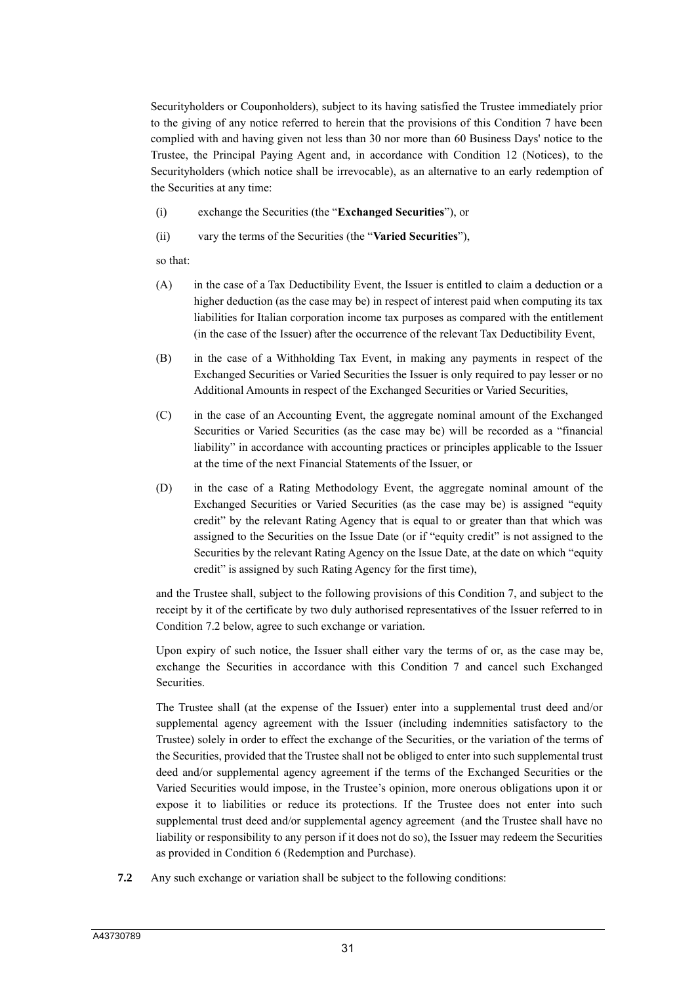Securityholders or Couponholders), subject to its having satisfied the Trustee immediately prior to the giving of any notice referred to herein that the provisions of this Condition 7 have been complied with and having given not less than 30 nor more than 60 Business Days' notice to the Trustee, the Principal Paying Agent and, in accordance with Condition 12 (Notices), to the Securityholders (which notice shall be irrevocable), as an alternative to an early redemption of the Securities at any time:

- (i) exchange the Securities (the "**Exchanged Securities**"), or
- (ii) vary the terms of the Securities (the "**Varied Securities**"),

so that:

- (A) in the case of a Tax Deductibility Event, the Issuer is entitled to claim a deduction or a higher deduction (as the case may be) in respect of interest paid when computing its tax liabilities for Italian corporation income tax purposes as compared with the entitlement (in the case of the Issuer) after the occurrence of the relevant Tax Deductibility Event,
- (B) in the case of a Withholding Tax Event, in making any payments in respect of the Exchanged Securities or Varied Securities the Issuer is only required to pay lesser or no Additional Amounts in respect of the Exchanged Securities or Varied Securities,
- (C) in the case of an Accounting Event, the aggregate nominal amount of the Exchanged Securities or Varied Securities (as the case may be) will be recorded as a "financial liability" in accordance with accounting practices or principles applicable to the Issuer at the time of the next Financial Statements of the Issuer, or
- (D) in the case of a Rating Methodology Event, the aggregate nominal amount of the Exchanged Securities or Varied Securities (as the case may be) is assigned "equity credit" by the relevant Rating Agency that is equal to or greater than that which was assigned to the Securities on the Issue Date (or if "equity credit" is not assigned to the Securities by the relevant Rating Agency on the Issue Date, at the date on which "equity credit" is assigned by such Rating Agency for the first time),

and the Trustee shall, subject to the following provisions of this Condition 7, and subject to the receipt by it of the certificate by two duly authorised representatives of the Issuer referred to in Condition 7.2 below, agree to such exchange or variation.

Upon expiry of such notice, the Issuer shall either vary the terms of or, as the case may be, exchange the Securities in accordance with this Condition 7 and cancel such Exchanged Securities.

The Trustee shall (at the expense of the Issuer) enter into a supplemental trust deed and/or supplemental agency agreement with the Issuer (including indemnities satisfactory to the Trustee) solely in order to effect the exchange of the Securities, or the variation of the terms of the Securities, provided that the Trustee shall not be obliged to enter into such supplemental trust deed and/or supplemental agency agreement if the terms of the Exchanged Securities or the Varied Securities would impose, in the Trustee's opinion, more onerous obligations upon it or expose it to liabilities or reduce its protections. If the Trustee does not enter into such supplemental trust deed and/or supplemental agency agreement (and the Trustee shall have no liability or responsibility to any person if it does not do so), the Issuer may redeem the Securities as provided in Condition 6 (Redemption and Purchase).

**7.2** Any such exchange or variation shall be subject to the following conditions: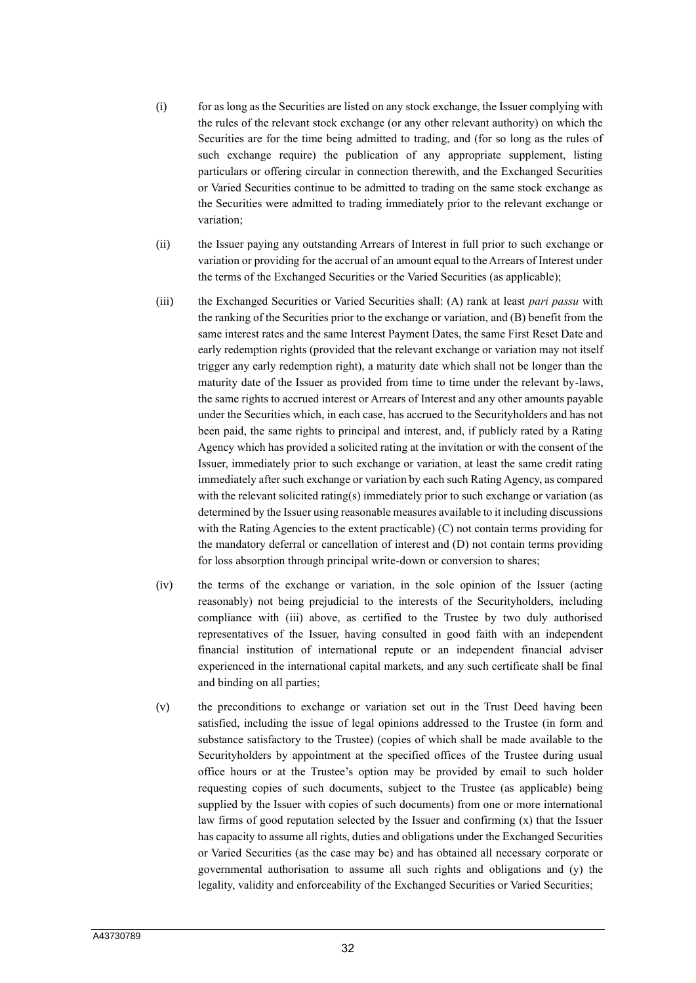- (i) for as long as the Securities are listed on any stock exchange, the Issuer complying with the rules of the relevant stock exchange (or any other relevant authority) on which the Securities are for the time being admitted to trading, and (for so long as the rules of such exchange require) the publication of any appropriate supplement, listing particulars or offering circular in connection therewith, and the Exchanged Securities or Varied Securities continue to be admitted to trading on the same stock exchange as the Securities were admitted to trading immediately prior to the relevant exchange or variation;
- (ii) the Issuer paying any outstanding Arrears of Interest in full prior to such exchange or variation or providing for the accrual of an amount equal to the Arrears of Interest under the terms of the Exchanged Securities or the Varied Securities (as applicable);
- (iii) the Exchanged Securities or Varied Securities shall: (A) rank at least *pari passu* with the ranking of the Securities prior to the exchange or variation, and (B) benefit from the same interest rates and the same Interest Payment Dates, the same First Reset Date and early redemption rights (provided that the relevant exchange or variation may not itself trigger any early redemption right), a maturity date which shall not be longer than the maturity date of the Issuer as provided from time to time under the relevant by-laws, the same rights to accrued interest or Arrears of Interest and any other amounts payable under the Securities which, in each case, has accrued to the Securityholders and has not been paid, the same rights to principal and interest, and, if publicly rated by a Rating Agency which has provided a solicited rating at the invitation or with the consent of the Issuer, immediately prior to such exchange or variation, at least the same credit rating immediately after such exchange or variation by each such Rating Agency, as compared with the relevant solicited rating(s) immediately prior to such exchange or variation (as determined by the Issuer using reasonable measures available to it including discussions with the Rating Agencies to the extent practicable) (C) not contain terms providing for the mandatory deferral or cancellation of interest and (D) not contain terms providing for loss absorption through principal write-down or conversion to shares;
- (iv) the terms of the exchange or variation, in the sole opinion of the Issuer (acting reasonably) not being prejudicial to the interests of the Securityholders, including compliance with (iii) above, as certified to the Trustee by two duly authorised representatives of the Issuer, having consulted in good faith with an independent financial institution of international repute or an independent financial adviser experienced in the international capital markets, and any such certificate shall be final and binding on all parties;
- (v) the preconditions to exchange or variation set out in the Trust Deed having been satisfied, including the issue of legal opinions addressed to the Trustee (in form and substance satisfactory to the Trustee) (copies of which shall be made available to the Securityholders by appointment at the specified offices of the Trustee during usual office hours or at the Trustee's option may be provided by email to such holder requesting copies of such documents, subject to the Trustee (as applicable) being supplied by the Issuer with copies of such documents) from one or more international law firms of good reputation selected by the Issuer and confirming (x) that the Issuer has capacity to assume all rights, duties and obligations under the Exchanged Securities or Varied Securities (as the case may be) and has obtained all necessary corporate or governmental authorisation to assume all such rights and obligations and (y) the legality, validity and enforceability of the Exchanged Securities or Varied Securities;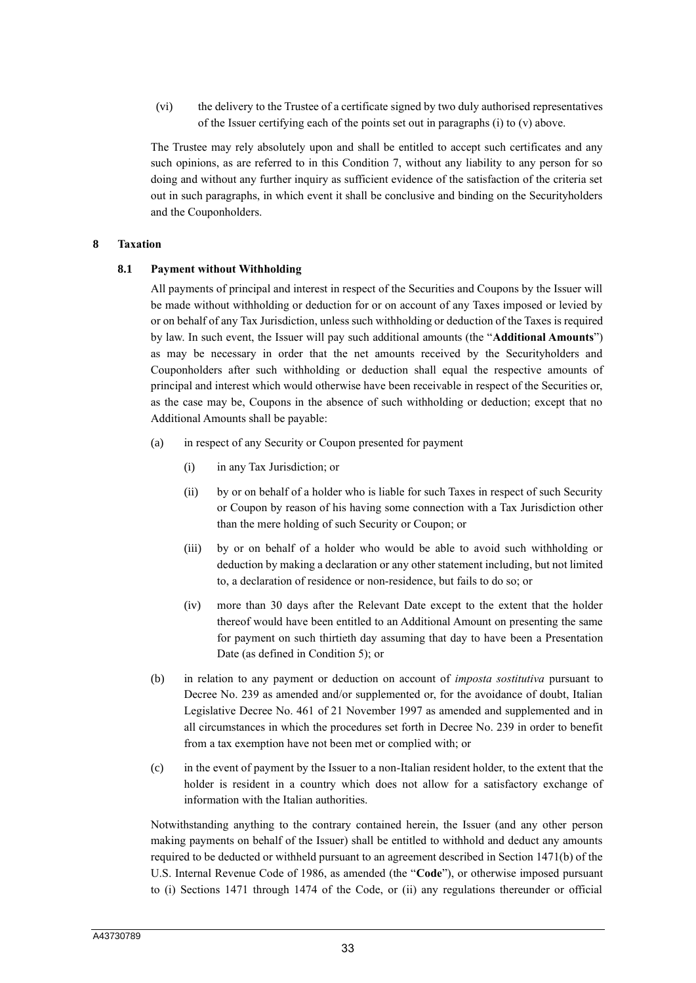(vi) the delivery to the Trustee of a certificate signed by two duly authorised representatives of the Issuer certifying each of the points set out in paragraphs (i) to (v) above.

The Trustee may rely absolutely upon and shall be entitled to accept such certificates and any such opinions, as are referred to in this Condition 7, without any liability to any person for so doing and without any further inquiry as sufficient evidence of the satisfaction of the criteria set out in such paragraphs, in which event it shall be conclusive and binding on the Securityholders and the Couponholders.

#### **8 Taxation**

#### **8.1 Payment without Withholding**

All payments of principal and interest in respect of the Securities and Coupons by the Issuer will be made without withholding or deduction for or on account of any Taxes imposed or levied by or on behalf of any Tax Jurisdiction, unless such withholding or deduction of the Taxes is required by law. In such event, the Issuer will pay such additional amounts (the "**Additional Amounts**") as may be necessary in order that the net amounts received by the Securityholders and Couponholders after such withholding or deduction shall equal the respective amounts of principal and interest which would otherwise have been receivable in respect of the Securities or, as the case may be, Coupons in the absence of such withholding or deduction; except that no Additional Amounts shall be payable:

- (a) in respect of any Security or Coupon presented for payment
	- (i) in any Tax Jurisdiction; or
	- (ii) by or on behalf of a holder who is liable for such Taxes in respect of such Security or Coupon by reason of his having some connection with a Tax Jurisdiction other than the mere holding of such Security or Coupon; or
	- (iii) by or on behalf of a holder who would be able to avoid such withholding or deduction by making a declaration or any other statement including, but not limited to, a declaration of residence or non-residence, but fails to do so; or
	- (iv) more than 30 days after the Relevant Date except to the extent that the holder thereof would have been entitled to an Additional Amount on presenting the same for payment on such thirtieth day assuming that day to have been a Presentation Date (as defined in Condition 5); or
- (b) in relation to any payment or deduction on account of *imposta sostitutiva* pursuant to Decree No. 239 as amended and/or supplemented or, for the avoidance of doubt, Italian Legislative Decree No. 461 of 21 November 1997 as amended and supplemented and in all circumstances in which the procedures set forth in Decree No. 239 in order to benefit from a tax exemption have not been met or complied with; or
- (c) in the event of payment by the Issuer to a non-Italian resident holder, to the extent that the holder is resident in a country which does not allow for a satisfactory exchange of information with the Italian authorities.

Notwithstanding anything to the contrary contained herein, the Issuer (and any other person making payments on behalf of the Issuer) shall be entitled to withhold and deduct any amounts required to be deducted or withheld pursuant to an agreement described in Section 1471(b) of the U.S. Internal Revenue Code of 1986, as amended (the "**Code**"), or otherwise imposed pursuant to (i) Sections 1471 through 1474 of the Code, or (ii) any regulations thereunder or official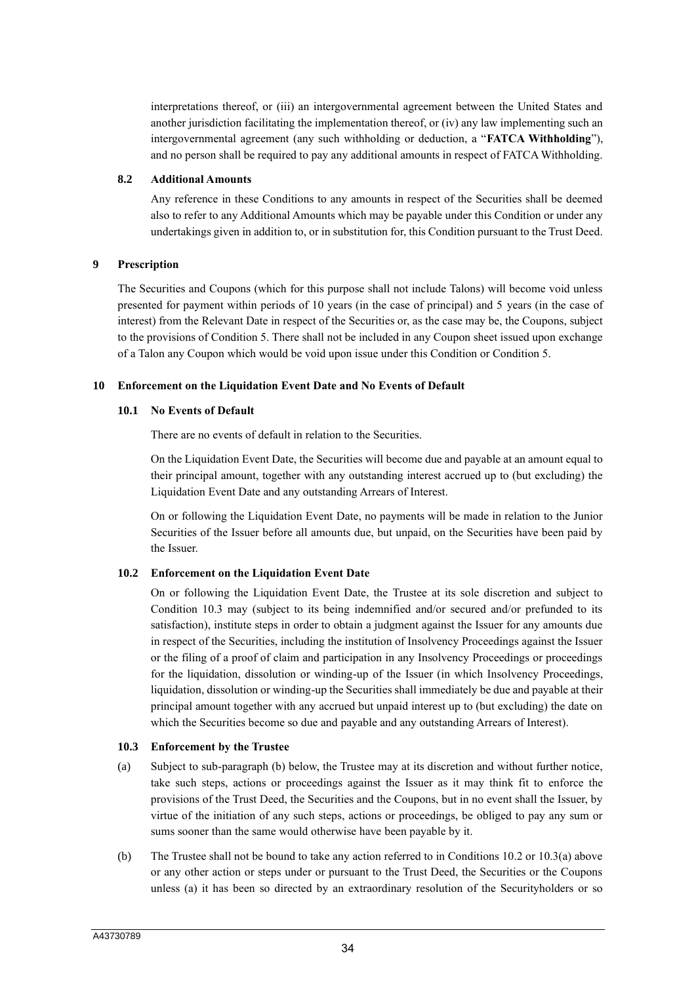interpretations thereof, or (iii) an intergovernmental agreement between the United States and another jurisdiction facilitating the implementation thereof, or (iv) any law implementing such an intergovernmental agreement (any such withholding or deduction, a "**FATCA Withholding**"), and no person shall be required to pay any additional amounts in respect of FATCA Withholding.

#### **8.2 Additional Amounts**

Any reference in these Conditions to any amounts in respect of the Securities shall be deemed also to refer to any Additional Amounts which may be payable under this Condition or under any undertakings given in addition to, or in substitution for, this Condition pursuant to the Trust Deed.

### **9 Prescription**

The Securities and Coupons (which for this purpose shall not include Talons) will become void unless presented for payment within periods of 10 years (in the case of principal) and 5 years (in the case of interest) from the Relevant Date in respect of the Securities or, as the case may be, the Coupons, subject to the provisions of Condition 5. There shall not be included in any Coupon sheet issued upon exchange of a Talon any Coupon which would be void upon issue under this Condition or Condition 5.

### **10 Enforcement on the Liquidation Event Date and No Events of Default**

### **10.1 No Events of Default**

There are no events of default in relation to the Securities.

On the Liquidation Event Date, the Securities will become due and payable at an amount equal to their principal amount, together with any outstanding interest accrued up to (but excluding) the Liquidation Event Date and any outstanding Arrears of Interest.

On or following the Liquidation Event Date, no payments will be made in relation to the Junior Securities of the Issuer before all amounts due, but unpaid, on the Securities have been paid by the Issuer.

### **10.2 Enforcement on the Liquidation Event Date**

On or following the Liquidation Event Date, the Trustee at its sole discretion and subject to Condition 10.3 may (subject to its being indemnified and/or secured and/or prefunded to its satisfaction), institute steps in order to obtain a judgment against the Issuer for any amounts due in respect of the Securities, including the institution of Insolvency Proceedings against the Issuer or the filing of a proof of claim and participation in any Insolvency Proceedings or proceedings for the liquidation, dissolution or winding-up of the Issuer (in which Insolvency Proceedings, liquidation, dissolution or winding-up the Securities shall immediately be due and payable at their principal amount together with any accrued but unpaid interest up to (but excluding) the date on which the Securities become so due and payable and any outstanding Arrears of Interest).

#### **10.3 Enforcement by the Trustee**

- (a) Subject to sub-paragraph (b) below, the Trustee may at its discretion and without further notice, take such steps, actions or proceedings against the Issuer as it may think fit to enforce the provisions of the Trust Deed, the Securities and the Coupons, but in no event shall the Issuer, by virtue of the initiation of any such steps, actions or proceedings, be obliged to pay any sum or sums sooner than the same would otherwise have been payable by it.
- (b) The Trustee shall not be bound to take any action referred to in Conditions 10.2 or 10.3(a) above or any other action or steps under or pursuant to the Trust Deed, the Securities or the Coupons unless (a) it has been so directed by an extraordinary resolution of the Securityholders or so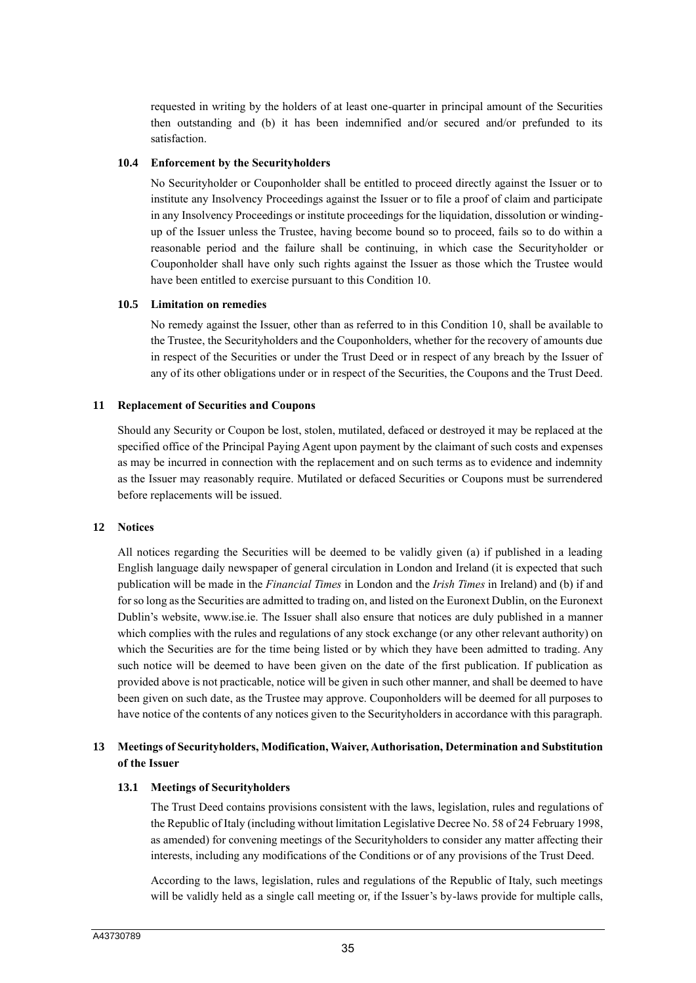requested in writing by the holders of at least one-quarter in principal amount of the Securities then outstanding and (b) it has been indemnified and/or secured and/or prefunded to its satisfaction.

#### **10.4 Enforcement by the Securityholders**

No Securityholder or Couponholder shall be entitled to proceed directly against the Issuer or to institute any Insolvency Proceedings against the Issuer or to file a proof of claim and participate in any Insolvency Proceedings or institute proceedings for the liquidation, dissolution or windingup of the Issuer unless the Trustee, having become bound so to proceed, fails so to do within a reasonable period and the failure shall be continuing, in which case the Securityholder or Couponholder shall have only such rights against the Issuer as those which the Trustee would have been entitled to exercise pursuant to this Condition 10.

### **10.5 Limitation on remedies**

No remedy against the Issuer, other than as referred to in this Condition 10, shall be available to the Trustee, the Securityholders and the Couponholders, whether for the recovery of amounts due in respect of the Securities or under the Trust Deed or in respect of any breach by the Issuer of any of its other obligations under or in respect of the Securities, the Coupons and the Trust Deed.

### **11 Replacement of Securities and Coupons**

Should any Security or Coupon be lost, stolen, mutilated, defaced or destroyed it may be replaced at the specified office of the Principal Paying Agent upon payment by the claimant of such costs and expenses as may be incurred in connection with the replacement and on such terms as to evidence and indemnity as the Issuer may reasonably require. Mutilated or defaced Securities or Coupons must be surrendered before replacements will be issued.

#### **12 Notices**

All notices regarding the Securities will be deemed to be validly given (a) if published in a leading English language daily newspaper of general circulation in London and Ireland (it is expected that such publication will be made in the *Financial Times* in London and the *Irish Times* in Ireland) and (b) if and for so long as the Securities are admitted to trading on, and listed on the Euronext Dublin, on the Euronext Dublin's website, www.ise.ie. The Issuer shall also ensure that notices are duly published in a manner which complies with the rules and regulations of any stock exchange (or any other relevant authority) on which the Securities are for the time being listed or by which they have been admitted to trading. Any such notice will be deemed to have been given on the date of the first publication. If publication as provided above is not practicable, notice will be given in such other manner, and shall be deemed to have been given on such date, as the Trustee may approve. Couponholders will be deemed for all purposes to have notice of the contents of any notices given to the Securityholders in accordance with this paragraph.

### **13 Meetings of Securityholders, Modification, Waiver, Authorisation, Determination and Substitution of the Issuer**

#### **13.1 Meetings of Securityholders**

The Trust Deed contains provisions consistent with the laws, legislation, rules and regulations of the Republic of Italy (including without limitation Legislative Decree No. 58 of 24 February 1998, as amended) for convening meetings of the Securityholders to consider any matter affecting their interests, including any modifications of the Conditions or of any provisions of the Trust Deed.

According to the laws, legislation, rules and regulations of the Republic of Italy, such meetings will be validly held as a single call meeting or, if the Issuer's by-laws provide for multiple calls,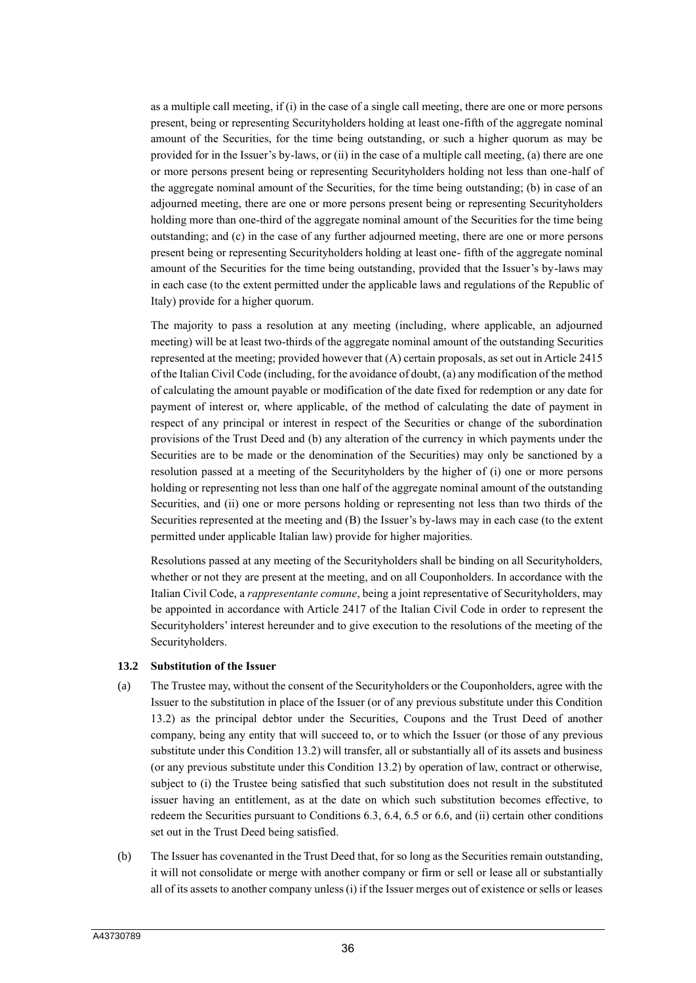as a multiple call meeting, if (i) in the case of a single call meeting, there are one or more persons present, being or representing Securityholders holding at least one-fifth of the aggregate nominal amount of the Securities, for the time being outstanding, or such a higher quorum as may be provided for in the Issuer's by-laws, or (ii) in the case of a multiple call meeting, (a) there are one or more persons present being or representing Securityholders holding not less than one-half of the aggregate nominal amount of the Securities, for the time being outstanding; (b) in case of an adjourned meeting, there are one or more persons present being or representing Securityholders holding more than one-third of the aggregate nominal amount of the Securities for the time being outstanding; and (c) in the case of any further adjourned meeting, there are one or more persons present being or representing Securityholders holding at least one- fifth of the aggregate nominal amount of the Securities for the time being outstanding, provided that the Issuer's by-laws may in each case (to the extent permitted under the applicable laws and regulations of the Republic of Italy) provide for a higher quorum.

The majority to pass a resolution at any meeting (including, where applicable, an adjourned meeting) will be at least two-thirds of the aggregate nominal amount of the outstanding Securities represented at the meeting; provided however that (A) certain proposals, as set out in Article 2415 of the Italian Civil Code (including, for the avoidance of doubt, (a) any modification of the method of calculating the amount payable or modification of the date fixed for redemption or any date for payment of interest or, where applicable, of the method of calculating the date of payment in respect of any principal or interest in respect of the Securities or change of the subordination provisions of the Trust Deed and (b) any alteration of the currency in which payments under the Securities are to be made or the denomination of the Securities) may only be sanctioned by a resolution passed at a meeting of the Securityholders by the higher of (i) one or more persons holding or representing not less than one half of the aggregate nominal amount of the outstanding Securities, and (ii) one or more persons holding or representing not less than two thirds of the Securities represented at the meeting and (B) the Issuer's by-laws may in each case (to the extent permitted under applicable Italian law) provide for higher majorities.

Resolutions passed at any meeting of the Securityholders shall be binding on all Securityholders, whether or not they are present at the meeting, and on all Couponholders. In accordance with the Italian Civil Code, a *rappresentante comune*, being a joint representative of Securityholders, may be appointed in accordance with Article 2417 of the Italian Civil Code in order to represent the Securityholders' interest hereunder and to give execution to the resolutions of the meeting of the Securityholders.

#### **13.2 Substitution of the Issuer**

- (a) The Trustee may, without the consent of the Securityholders or the Couponholders, agree with the Issuer to the substitution in place of the Issuer (or of any previous substitute under this Condition 13.2) as the principal debtor under the Securities, Coupons and the Trust Deed of another company, being any entity that will succeed to, or to which the Issuer (or those of any previous substitute under this Condition 13.2) will transfer, all or substantially all of its assets and business (or any previous substitute under this Condition 13.2) by operation of law, contract or otherwise, subject to (i) the Trustee being satisfied that such substitution does not result in the substituted issuer having an entitlement, as at the date on which such substitution becomes effective, to redeem the Securities pursuant to Conditions 6.3, 6.4, 6.5 or 6.6, and (ii) certain other conditions set out in the Trust Deed being satisfied.
- (b) The Issuer has covenanted in the Trust Deed that, for so long as the Securities remain outstanding, it will not consolidate or merge with another company or firm or sell or lease all or substantially all of its assets to another company unless (i) if the Issuer merges out of existence or sells or leases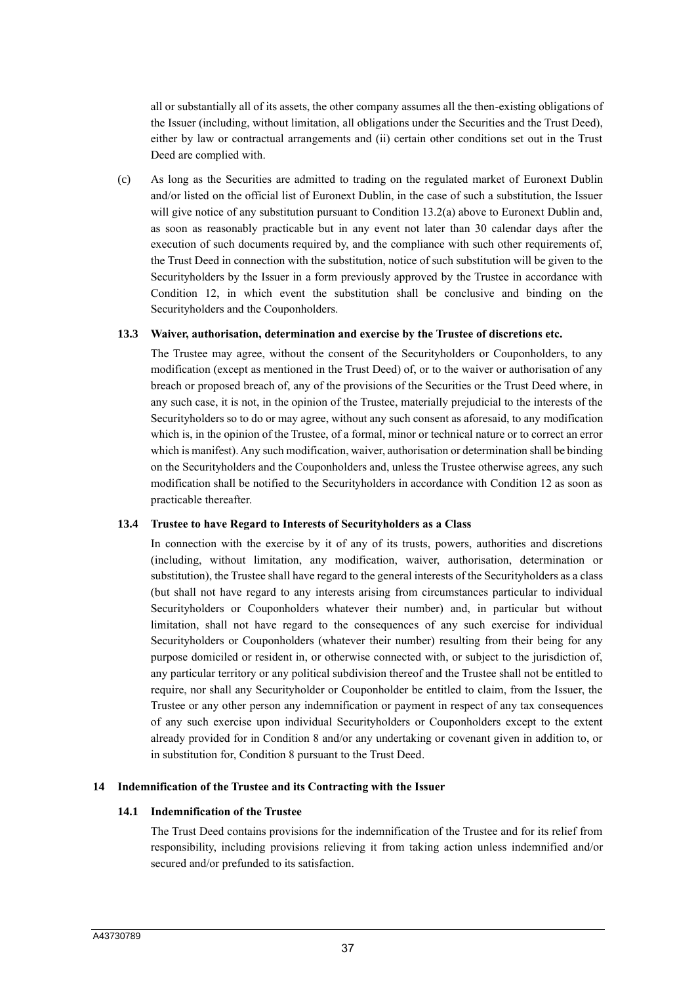all or substantially all of its assets, the other company assumes all the then-existing obligations of the Issuer (including, without limitation, all obligations under the Securities and the Trust Deed), either by law or contractual arrangements and (ii) certain other conditions set out in the Trust Deed are complied with.

(c) As long as the Securities are admitted to trading on the regulated market of Euronext Dublin and/or listed on the official list of Euronext Dublin, in the case of such a substitution, the Issuer will give notice of any substitution pursuant to Condition 13.2(a) above to Euronext Dublin and, as soon as reasonably practicable but in any event not later than 30 calendar days after the execution of such documents required by, and the compliance with such other requirements of, the Trust Deed in connection with the substitution, notice of such substitution will be given to the Securityholders by the Issuer in a form previously approved by the Trustee in accordance with Condition 12, in which event the substitution shall be conclusive and binding on the Securityholders and the Couponholders.

### **13.3 Waiver, authorisation, determination and exercise by the Trustee of discretions etc.**

The Trustee may agree, without the consent of the Securityholders or Couponholders, to any modification (except as mentioned in the Trust Deed) of, or to the waiver or authorisation of any breach or proposed breach of, any of the provisions of the Securities or the Trust Deed where, in any such case, it is not, in the opinion of the Trustee, materially prejudicial to the interests of the Securityholders so to do or may agree, without any such consent as aforesaid, to any modification which is, in the opinion of the Trustee, of a formal, minor or technical nature or to correct an error which is manifest). Any such modification, waiver, authorisation or determination shall be binding on the Securityholders and the Couponholders and, unless the Trustee otherwise agrees, any such modification shall be notified to the Securityholders in accordance with Condition 12 as soon as practicable thereafter.

#### **13.4 Trustee to have Regard to Interests of Securityholders as a Class**

In connection with the exercise by it of any of its trusts, powers, authorities and discretions (including, without limitation, any modification, waiver, authorisation, determination or substitution), the Trustee shall have regard to the general interests of the Securityholders as a class (but shall not have regard to any interests arising from circumstances particular to individual Securityholders or Couponholders whatever their number) and, in particular but without limitation, shall not have regard to the consequences of any such exercise for individual Securityholders or Couponholders (whatever their number) resulting from their being for any purpose domiciled or resident in, or otherwise connected with, or subject to the jurisdiction of, any particular territory or any political subdivision thereof and the Trustee shall not be entitled to require, nor shall any Securityholder or Couponholder be entitled to claim, from the Issuer, the Trustee or any other person any indemnification or payment in respect of any tax consequences of any such exercise upon individual Securityholders or Couponholders except to the extent already provided for in Condition 8 and/or any undertaking or covenant given in addition to, or in substitution for, Condition 8 pursuant to the Trust Deed.

#### **14 Indemnification of the Trustee and its Contracting with the Issuer**

### **14.1 Indemnification of the Trustee**

The Trust Deed contains provisions for the indemnification of the Trustee and for its relief from responsibility, including provisions relieving it from taking action unless indemnified and/or secured and/or prefunded to its satisfaction.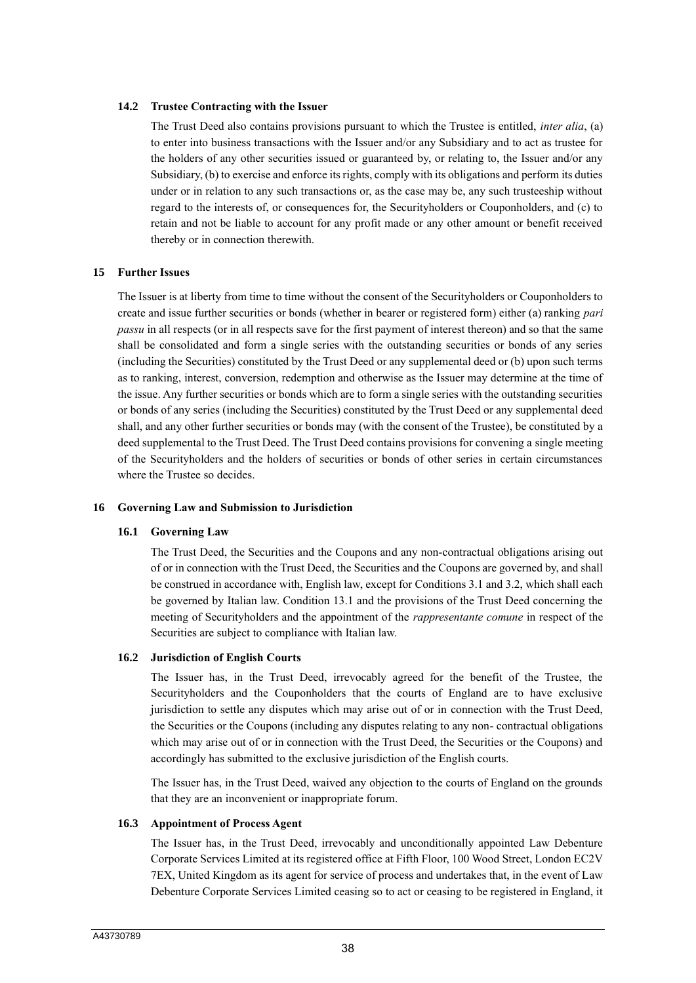#### **14.2 Trustee Contracting with the Issuer**

The Trust Deed also contains provisions pursuant to which the Trustee is entitled, *inter alia*, (a) to enter into business transactions with the Issuer and/or any Subsidiary and to act as trustee for the holders of any other securities issued or guaranteed by, or relating to, the Issuer and/or any Subsidiary, (b) to exercise and enforce its rights, comply with its obligations and perform its duties under or in relation to any such transactions or, as the case may be, any such trusteeship without regard to the interests of, or consequences for, the Securityholders or Couponholders, and (c) to retain and not be liable to account for any profit made or any other amount or benefit received thereby or in connection therewith.

#### **15 Further Issues**

The Issuer is at liberty from time to time without the consent of the Securityholders or Couponholders to create and issue further securities or bonds (whether in bearer or registered form) either (a) ranking *pari passu* in all respects (or in all respects save for the first payment of interest thereon) and so that the same shall be consolidated and form a single series with the outstanding securities or bonds of any series (including the Securities) constituted by the Trust Deed or any supplemental deed or (b) upon such terms as to ranking, interest, conversion, redemption and otherwise as the Issuer may determine at the time of the issue. Any further securities or bonds which are to form a single series with the outstanding securities or bonds of any series (including the Securities) constituted by the Trust Deed or any supplemental deed shall, and any other further securities or bonds may (with the consent of the Trustee), be constituted by a deed supplemental to the Trust Deed. The Trust Deed contains provisions for convening a single meeting of the Securityholders and the holders of securities or bonds of other series in certain circumstances where the Trustee so decides.

#### **16 Governing Law and Submission to Jurisdiction**

#### **16.1 Governing Law**

The Trust Deed, the Securities and the Coupons and any non-contractual obligations arising out of or in connection with the Trust Deed, the Securities and the Coupons are governed by, and shall be construed in accordance with, English law, except for Conditions 3.1 and 3.2, which shall each be governed by Italian law. Condition 13.1 and the provisions of the Trust Deed concerning the meeting of Securityholders and the appointment of the *rappresentante comune* in respect of the Securities are subject to compliance with Italian law.

#### **16.2 Jurisdiction of English Courts**

The Issuer has, in the Trust Deed, irrevocably agreed for the benefit of the Trustee, the Securityholders and the Couponholders that the courts of England are to have exclusive jurisdiction to settle any disputes which may arise out of or in connection with the Trust Deed, the Securities or the Coupons (including any disputes relating to any non- contractual obligations which may arise out of or in connection with the Trust Deed, the Securities or the Coupons) and accordingly has submitted to the exclusive jurisdiction of the English courts.

The Issuer has, in the Trust Deed, waived any objection to the courts of England on the grounds that they are an inconvenient or inappropriate forum.

#### **16.3 Appointment of Process Agent**

The Issuer has, in the Trust Deed, irrevocably and unconditionally appointed Law Debenture Corporate Services Limited at its registered office at Fifth Floor, 100 Wood Street, London EC2V 7EX, United Kingdom as its agent for service of process and undertakes that, in the event of Law Debenture Corporate Services Limited ceasing so to act or ceasing to be registered in England, it